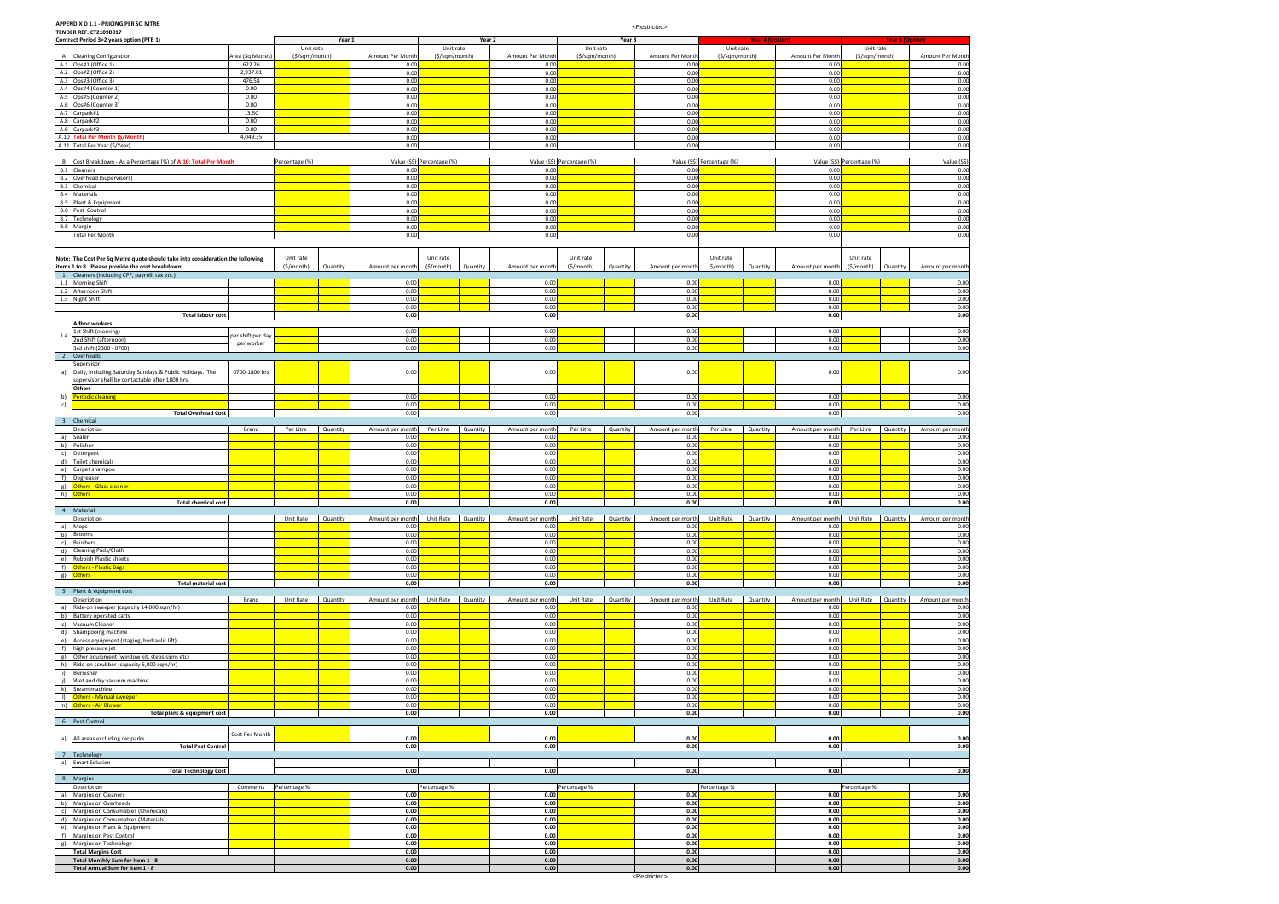**APPENDIX D 1.1 - PRICING PER SQ MTRE TENDER REF: CT2109B017**

|                | Contract Period 3+2 years option (PTB 1)                                       |                       |                | Year 1   |                  |                            | Year 2   |                  |                            | Year 3   |                  |                            | <b>Year 4 (Option)</b> |                  |                            | <b>Year 5 (Option)</b> |                  |
|----------------|--------------------------------------------------------------------------------|-----------------------|----------------|----------|------------------|----------------------------|----------|------------------|----------------------------|----------|------------------|----------------------------|------------------------|------------------|----------------------------|------------------------|------------------|
|                |                                                                                |                       | Unit rate      |          |                  | Unit rate                  |          |                  | Unit rate                  |          |                  | Unit rate                  |                        |                  | Unit rate                  |                        |                  |
| A              | <b>Cleaning Configuration</b>                                                  | Area (Sq Metres)      | (\$/sqm/month) |          | Amount Per Month | (\$/sqm/month)             |          | Amount Per Month | (\$/sqm/month)             |          | Amount Per Month | (\$/sqm/month)             |                        | Amount Per Month | (\$/sqm/month)             |                        | Amount Per Month |
|                | A.1 Ops#1 (Office 1)                                                           | 622.26                |                |          | 0.00             |                            |          | 0.00             |                            |          | 0.00             |                            |                        | 0.00             |                            |                        | 0.00             |
|                | A.2 Ops#2 (Office 2)                                                           | 2,937.01              |                |          | 0.00             |                            |          | 0.00             |                            |          | 0.00             |                            |                        | 0.00             |                            |                        | 0.00             |
|                | A.3 Ops#3 (Office 3)                                                           | 476.58                |                |          | 0.00             |                            |          | 0.00             |                            |          | 0.00             |                            |                        | 0.00             |                            |                        | 0.00             |
|                | A.4 Ops#4 (Counter 1)                                                          | 0.00                  |                |          | 0.00             |                            |          | 0.00             |                            |          | 0.00             |                            |                        | 0.00             |                            |                        | 0.00             |
|                | A.5 Ops#5 (Counter 2)                                                          | 0.00                  |                |          | 0.00             |                            |          | 0.00             |                            |          | 0.00             |                            |                        | 0.00             |                            |                        | 0.00             |
|                | A.6 Ops#6 (Counter 3)                                                          | 0.00                  |                |          | 0.00             |                            |          | 0.00             |                            |          | 0.00             |                            |                        | 0.00             |                            |                        | 0.00             |
|                | A.7 Carpark#1                                                                  | 13.50                 |                |          | 0.00             |                            |          | 0.00             |                            |          | 0.00             |                            |                        | 0.00             |                            |                        | 0.00             |
|                | A.8 Carpark#2                                                                  | 0.00                  |                |          | 0.00             |                            |          | 0.00             |                            |          | 0.00             |                            |                        | 0.00             |                            |                        | 0.00             |
|                | A.9 Carpark#3                                                                  | 0.00                  |                |          | 0.00             |                            |          | 0.00             |                            |          | 0.00             |                            |                        | 0.00             |                            |                        | 0.00             |
|                | A.10 Total Per Month (\$/Month)                                                | 4,049.35              |                |          | 0.00             |                            |          | 0.00             |                            |          | 0.00             |                            |                        | 0.00             |                            |                        | 0.00             |
|                | A.11 Total Per Year (\$/Year)                                                  |                       |                |          | 0.00             |                            |          | 0.00             |                            |          | 0.00             |                            |                        | 0.00             |                            |                        | 0.00             |
|                |                                                                                |                       |                |          |                  |                            |          |                  |                            |          |                  |                            |                        |                  |                            |                        |                  |
|                | B Cost Breakdown - As a Percentage (%) of A.10: Total Per Month                |                       | Percentage (%) |          |                  | Value (S\$) Percentage (%) |          |                  | Value (S\$) Percentage (%) |          |                  | Value (S\$) Percentage (%) |                        |                  | Value (S\$) Percentage (%) |                        | Value (S\$)      |
|                | <b>B.1</b> Cleaners                                                            |                       |                |          | 0.00             |                            |          | 0.00             |                            |          | 0.00             |                            |                        | 0.00             |                            |                        | 0.00             |
|                | <b>B.2</b> Overhead (Supervisors)                                              |                       |                |          | 0.00             |                            |          | 0.00             |                            |          | 0.00             |                            |                        | 0.00             |                            |                        | 0.00             |
|                | B.3 Chemical                                                                   |                       |                |          | 0.00             |                            |          | 0.00             |                            |          | 0.00             |                            |                        | 0.00             |                            |                        | 0.00             |
|                | <b>B.4</b> Materials                                                           |                       |                |          | 0.00             |                            |          | 0.00             |                            |          | 0.00             |                            |                        | 0.00             |                            |                        | 0.00             |
| B.5            | Plant & Equipment                                                              |                       |                |          | 0.00             |                            |          | 0.00             |                            |          | 0.00             |                            |                        | 0.00             |                            |                        | 0.00             |
|                | B.6 Pest Control                                                               |                       |                |          | 0.00             |                            |          | 0.00             |                            |          | 0.00             |                            |                        | 0.00             |                            |                        | 0.00             |
|                | B.7 Technology                                                                 |                       |                |          | 0.00             |                            |          | 0.00             |                            |          | 0.00             |                            |                        | 0.00             |                            |                        | 0.00             |
|                | B.8 Margin                                                                     |                       |                |          | 0.00             |                            |          | 0.00             |                            |          | 0.00             |                            |                        | 0.00             |                            |                        | 0.00             |
|                | <b>Total Per Month</b>                                                         |                       |                |          | 0.00             |                            |          | 0.00             |                            |          | 0.00             |                            |                        | 0.00             |                            |                        | 0.00             |
|                |                                                                                |                       |                |          |                  |                            |          |                  |                            |          |                  |                            |                        |                  |                            |                        |                  |
|                | Note: The Cost Per Sq Metre quote should take into consideration the following |                       | Unit rate      |          |                  | Unit rate                  |          |                  | Unit rate                  |          |                  | Unit rate                  |                        |                  | Unit rate                  |                        |                  |
|                | items 1 to 8. Please provide the cost breakdown.                               |                       | (\$/month)     | Quantity | Amount per month | (\$/month)                 | Quantity | Amount per month | (\$/month)                 | Quantity | Amount per month | $($ \$/month $)$           | Quantity               | Amount per month | (\$/month)                 | Quantity               | Amount per month |
|                | 1 Cleaners (including CPF, payroll, tax etc.)                                  |                       |                |          |                  |                            |          |                  |                            |          |                  |                            |                        |                  |                            |                        |                  |
|                | 1.1 Morning Shift                                                              |                       |                |          | 0.00             |                            |          | 0.00             |                            |          | 0.00             |                            |                        | 0.00             |                            |                        | 0.00             |
|                | 1.2 Afternoon Shift                                                            |                       |                |          | 0.00             |                            |          | 0.00             |                            |          | 0.00             |                            |                        | 0.00             |                            |                        | 0.00             |
|                | 1.3 Night Shift                                                                |                       |                |          | 0.00             |                            |          | 0.00             |                            |          | 0.00             |                            |                        | 0.00             |                            |                        | 0.00             |
|                |                                                                                |                       |                |          | 0.00             |                            |          | 0.00             |                            |          | 0.00             |                            |                        | 0.00             |                            |                        | 0.00             |
|                | <b>Total labour cost</b>                                                       |                       |                |          | 0.00             |                            |          | 0.00             |                            |          | 0.00             |                            |                        | 0.00             |                            |                        | 0.00             |
|                | <b>Adhoc workers</b>                                                           |                       |                |          |                  |                            |          |                  |                            |          |                  |                            |                        |                  |                            |                        |                  |
|                | 1st Shift (morning)                                                            |                       |                |          | 0.00             |                            |          | 0.00             |                            |          | 0.00             |                            |                        | 0.00             |                            |                        | 0.00             |
| 1.4            | 2nd Shift (afternoon)                                                          | per shift per day     |                |          | 0.00             |                            |          | 0.00             |                            |          | 0.00             |                            |                        | 0.00             |                            |                        | 0.00             |
|                | 3rd shift (2300 - 0700)                                                        | per worker            |                |          | 0.00             |                            |          | 0.00             |                            |          | 0.00             |                            |                        | 0.00             |                            |                        | 0.00             |
|                | Overheads                                                                      |                       |                |          |                  |                            |          |                  |                            |          |                  |                            |                        |                  |                            |                        |                  |
| $\overline{2}$ | Supervisor                                                                     |                       |                |          |                  |                            |          |                  |                            |          |                  |                            |                        |                  |                            |                        |                  |
|                | Daily, including Saturday, Sundays & Public Holidays. The                      |                       |                |          |                  |                            |          | 0.00             |                            |          | 0.00             |                            |                        |                  |                            |                        | 0.00             |
| a)             | supervisor shall be contactable after 1800 hrs.                                | 0700-1800 hrs         |                |          | 0.00             |                            |          |                  |                            |          |                  |                            |                        | 0.00             |                            |                        |                  |
|                |                                                                                |                       |                |          |                  |                            |          |                  |                            |          |                  |                            |                        |                  |                            |                        |                  |
|                | Others                                                                         |                       |                |          |                  |                            |          |                  |                            |          |                  |                            |                        |                  |                            |                        |                  |
| b)             | eriodic cleaning                                                               |                       |                |          | 0.00             |                            |          | 0.00             |                            |          | 0.00             |                            |                        | 0.00             |                            |                        | 0.00             |
| c)             |                                                                                |                       |                |          | 0.00             |                            |          | 0.00             |                            |          | 0.00             |                            |                        | 0.00             |                            |                        | 0.00             |
|                | <b>Total Overhead Cost</b>                                                     |                       |                |          | 0.00             |                            |          | 0.00             |                            |          | 0.00             |                            |                        | 0.00             |                            |                        | 0.00             |
| 3 <sup>2</sup> | Chemical                                                                       |                       |                |          |                  |                            |          |                  |                            |          |                  |                            |                        |                  |                            |                        |                  |
|                | Description                                                                    | Brand                 | Per Litre      | Quantity | Amount per month | Per Litre                  | Quantity | Amount per month | Per Litre                  | Quantity | Amount per month | Per Litre                  | Quantity               | Amount per month | Per Litre                  | Quantity               | Amount per month |
| a)             | Sealer                                                                         |                       |                |          | 0.00             |                            |          | 0.00             |                            |          | 0.00             |                            |                        | 0.00             |                            |                        | 0.00             |
|                | b) Polisher                                                                    |                       |                |          | 0.00             |                            |          | 0.00             |                            |          | 0.00             |                            |                        | 0.00             |                            |                        | 0.00             |
| c)             | Detergent                                                                      |                       |                |          | 0.00             |                            |          | 0.00             |                            |          | 0.00             |                            |                        | 0.00             |                            |                        | 0.00             |
| d)             | Toilet chemicals                                                               |                       |                |          | 0.00             |                            |          | 0.00             |                            |          | 0.00             |                            |                        | 0.00             |                            |                        | 0.00             |
| e)             | Carpet shampoo                                                                 |                       |                |          | 0.00             |                            |          | 0.00             |                            |          | 0.00             |                            |                        | 0.00             |                            |                        | 0.00             |
| $-f)$          | Degreaser                                                                      |                       |                |          | 0.00             |                            |          | 0.00             |                            |          | 0.00             |                            |                        | 0.00             |                            |                        | 0.00             |
| g)             | Others - Glass cleaner                                                         |                       |                |          | 0.00             |                            |          | 0.00             |                            |          | 0.00             |                            |                        | 0.00             |                            |                        | 0.00             |
| h)             | <b>Others</b>                                                                  |                       |                |          | 0.00             |                            |          | 0.00             |                            |          | 0.00             |                            |                        | 0.00             |                            |                        | 0.00             |
|                | <b>Total chemical cost</b>                                                     |                       |                |          | 0.00             |                            |          | 0.00             |                            |          | 0.00             |                            |                        | 0.00             |                            |                        | 0.00             |
|                | 4 Material                                                                     |                       |                |          |                  |                            |          |                  |                            |          |                  |                            |                        |                  |                            |                        |                  |
|                | Description                                                                    |                       | Unit Rate      | Quantity | Amount per month | Unit Rate Quantity         |          | Amount per month | Unit Rate                  | Quantity | Amount per month | Unit Rate                  | Quantity               | Amount per month | Unit Rate                  | Quantity               | Amount per montr |
| a)             | Mops                                                                           |                       |                |          | 0.00             |                            |          | 0.00             |                            |          | 0.00             |                            |                        | 0.00             |                            |                        | 0.00             |
|                | b) Brooms                                                                      |                       |                |          | 0.00             |                            |          | 0.00             |                            |          | 0.00             |                            |                        | 0.00             |                            |                        | 0.00             |
|                | c) Brushers                                                                    |                       |                |          | 0.00             |                            |          | 0.00             |                            |          | 0.00             |                            |                        | 0.00             |                            |                        | 0.00             |
|                | d) Cleaning Pads/Cloth                                                         |                       |                |          | 0.00             |                            |          | 0.00             |                            |          | 0.00             |                            |                        | 0.00             |                            |                        | 0.00             |
|                | e) Rubbish Plastic sheets                                                      |                       |                |          | 0.00             |                            |          | 0.00             |                            |          | 0.00             |                            |                        | 0.00             |                            |                        | 0.00             |
|                | f) Others - Plastic Bags                                                       |                       |                |          | 0.00             |                            |          | 0.00             |                            |          | 0.00             |                            |                        | 0.00             |                            |                        | 0.00             |
| g)             | <b>Others</b>                                                                  |                       |                |          | 0.00             |                            |          | 0.00             |                            |          | 0.00             |                            |                        | 0.00             |                            |                        | 0.00             |
|                | <b>Total material cost</b>                                                     |                       |                |          | 0.00             |                            |          | 0.00             |                            |          | 0.00             |                            |                        | 0.00             |                            |                        | 0.00             |
|                | 5 Plant & equipment cost                                                       |                       |                |          |                  |                            |          |                  |                            |          |                  |                            |                        |                  |                            |                        |                  |
|                | Description                                                                    | Brand                 | Unit Rate      | Quantity | Amount per month | Unit Rate                  | Quantity | Amount per month | Unit Rate                  | Quantity | Amount per month | Unit Rate                  | Quantity               | Amount per month | Unit Rate                  | Quantity               | Amount per month |
| a)             | Ride-on sweeper (capacity 14,000 sqm/hr)                                       |                       |                |          | 0.00             |                            |          | 0.00             |                            |          | 0.00             |                            |                        | 0.00             |                            |                        | 0.00             |
|                | b) Battery operated carts                                                      |                       |                |          | 0.00             |                            |          | 0.00             |                            |          | 0.00             |                            |                        | 0.00             |                            |                        | 0.00             |
|                | c) Vacuum Cleaner                                                              |                       |                |          | 0.00             |                            |          | 0.00             |                            |          | 0.00             |                            |                        | 0.00             |                            |                        | 0.00             |
|                | d) Shampooing machine                                                          |                       |                |          | 0.00             |                            |          | 0.00             |                            |          | 0.00             |                            |                        | 0.00             |                            |                        | 0.00             |
|                | e) Access equipment (staging, hydraulic lift)                                  |                       |                |          | 0.00             |                            |          | 0.00             |                            |          | 0.00             |                            |                        | 0.00             |                            |                        | 0.00             |
|                | f) high pressure jet                                                           |                       |                |          | 0.00             |                            |          | 0.00             |                            |          | 0.00             |                            |                        | 0.00             |                            |                        | 0.00             |
|                | g) Other equipment (window kit, steps, signs etc)                              |                       |                |          | 0.00             |                            |          | 0.00             |                            |          | 0.00             |                            |                        | 0.00             |                            |                        | 0.00             |
|                | h) Ride-on scrubber (capacity 5,000 sqm/hr)                                    |                       |                |          | 0.00             |                            |          | 0.00             |                            |          | 0.00             |                            |                        | 0.00             |                            |                        | 0.00             |
| $\vert$ i)     | Burnisher                                                                      |                       |                |          | 0.00             |                            |          | 0.00             |                            |          | 0.00             |                            |                        | 0.00             |                            |                        | 0.00             |
| j)             | Wet and dry vacuum machine                                                     |                       |                |          | 0.00             |                            |          | 0.00             |                            |          | 0.00             |                            |                        | 0.00             |                            |                        | 0.00             |
| k)             | Steam machine                                                                  |                       |                |          | 0.00             |                            |          | 0.00             |                            |          | 0.00             |                            |                        | 0.00             |                            |                        | 0.00             |
| $\vert$        | <b>Others - Manual sweeper</b>                                                 |                       |                |          | 0.00             |                            |          | 0.00             |                            |          | 0.00             |                            |                        | 0.00             |                            |                        | 0.00             |
|                | m) Others - Air Blower                                                         |                       |                |          | 0.00             |                            |          | 0.00             |                            |          | 0.00             |                            |                        | 0.00             |                            |                        | 0.00             |
|                | Total plant & equipment cost                                                   |                       |                |          | 0.00             |                            |          | 0.00             |                            |          | 0.00             |                            |                        | 0.00             |                            |                        | 0.00             |
|                | 6 Pest Control                                                                 |                       |                |          |                  |                            |          |                  |                            |          |                  |                            |                        |                  |                            |                        |                  |
|                |                                                                                |                       |                |          |                  |                            |          |                  |                            |          |                  |                            |                        |                  |                            |                        |                  |
| a)             | All areas excluding car parks                                                  | Cost Per Month        |                |          | 0.00             |                            |          | 0.00             |                            |          | 0.00             |                            |                        | 0.00             |                            |                        | 0.00             |
|                |                                                                                |                       |                |          | 0.00             |                            |          | 0.00             |                            |          | 0.00             |                            |                        | 0.00             |                            |                        | 0.00             |
|                |                                                                                |                       |                |          |                  |                            |          |                  |                            |          |                  |                            |                        |                  |                            |                        |                  |
|                | <b>Total Pest Control</b>                                                      |                       |                |          |                  |                            |          |                  |                            |          |                  |                            |                        |                  |                            |                        |                  |
| a)             | 7 Technology                                                                   |                       |                |          |                  |                            |          |                  |                            |          |                  |                            |                        |                  |                            |                        |                  |
|                | <b>Smart Solution</b>                                                          |                       |                |          | 0.00             |                            |          | 0.00             |                            |          | 0.00             |                            |                        | 0.00             |                            |                        | 0.00             |
| 8              | <b>Total Technology Cost</b><br>Margins                                        |                       |                |          |                  |                            |          |                  |                            |          |                  |                            |                        |                  |                            |                        |                  |
|                | Description                                                                    |                       |                |          |                  |                            |          |                  |                            |          |                  |                            |                        |                  |                            |                        |                  |
| a)             |                                                                                | Comments Percentage % |                |          | 0.00             | Percentage %               |          | 0.00             | Percentage %               |          | 0.00             | Percentage %               |                        | 0.00             | Percentage %               |                        | 0.00             |
|                | Margins on Cleaners<br>b) Margins on Overheads                                 |                       |                |          | 0.00             |                            |          | 0.00             |                            |          | 0.00             |                            |                        | 0.00             |                            |                        | 0.00             |
|                |                                                                                |                       |                |          |                  |                            |          |                  |                            |          |                  |                            |                        |                  |                            |                        |                  |
| c)             | Margins on Consumables (Chemicals)                                             |                       |                |          | 0.00             |                            |          | 0.00             |                            |          | 0.00             |                            |                        | 0.00             |                            |                        | 0.00             |
|                | d) Margins on Consumables (Materials)                                          |                       |                |          | 0.00             |                            |          | 0.00             |                            |          | 0.00             |                            |                        | 0.00             |                            |                        | 0.00             |
| e)             | Margins on Plant & Equipment                                                   |                       |                |          | 0.00             |                            |          | 0.00             |                            |          | 0.00             |                            |                        | 0.00             |                            |                        | 0.00             |
| $-f)$          | Margins on Pest Control                                                        |                       |                |          | 0.00             |                            |          | 0.00             |                            |          | 0.00             |                            |                        | 0.00             |                            |                        | 0.00             |
|                | g) Margins on Technology                                                       |                       |                |          | 0.00             |                            |          | 0.00             |                            |          | 0.00             |                            |                        | 0.00             |                            |                        | 0.00             |
|                | <b>Total Margins Cost</b><br>Total Monthly Sum for Item 1 - 8                  |                       |                |          | 0.00<br>0.00     |                            |          | 0.00<br>0.00     |                            |          | 0.00<br>0.00     |                            |                        | 0.00<br>0.00     |                            |                        | 0.00<br>0.00     |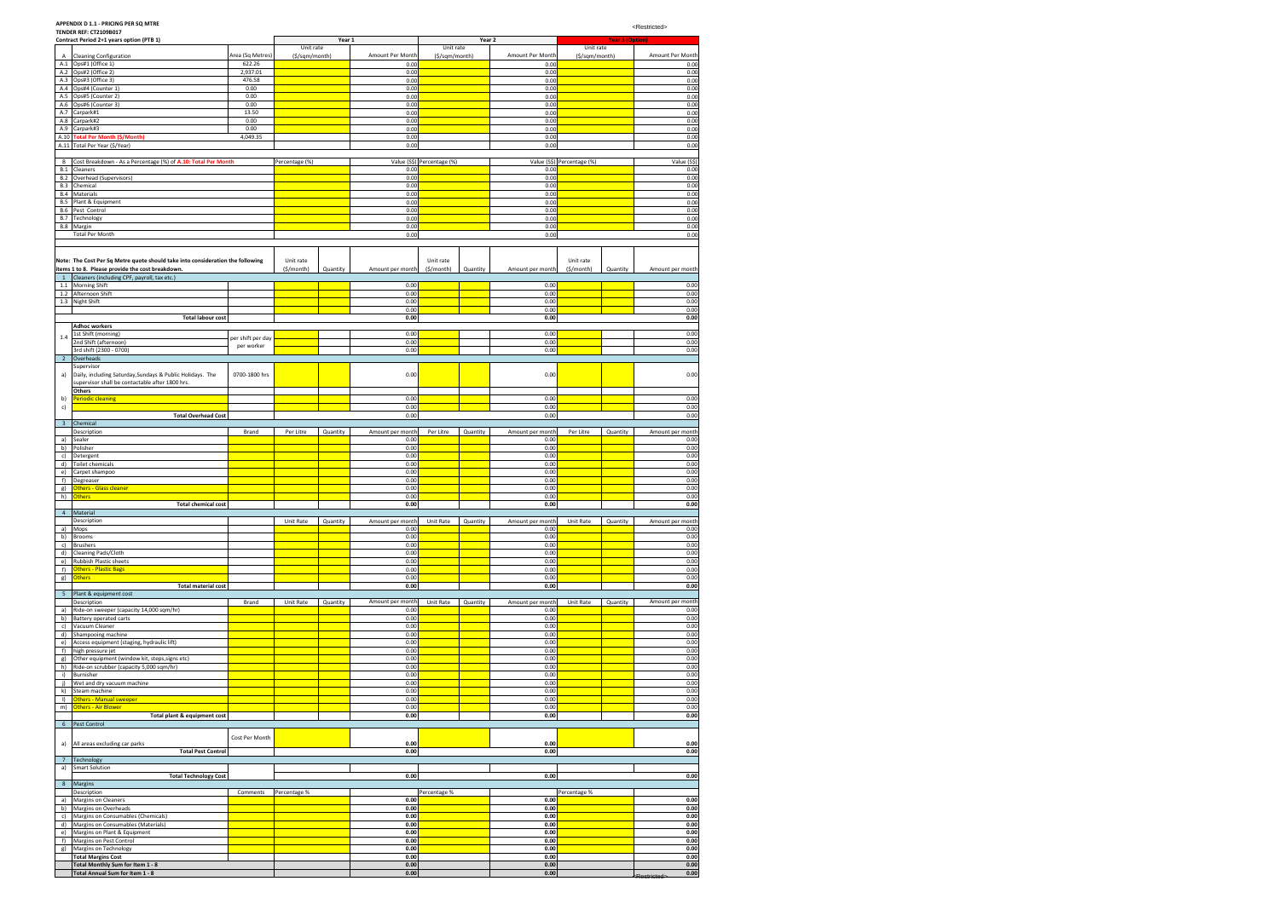**ERestricted>** 

### **APPENDIX D 1.1 - PRICING PER SQ MTRE**

|                          | <b>TENDER REF: CT2109B017</b><br>Contract Period 2+1 years option (PTB 1)                                    |                   |                | Year 1   |                          | Year 2                     |          |                          | <b>Year 3 (Option)</b>     |          |                          |
|--------------------------|--------------------------------------------------------------------------------------------------------------|-------------------|----------------|----------|--------------------------|----------------------------|----------|--------------------------|----------------------------|----------|--------------------------|
|                          |                                                                                                              |                   | Unit rate      |          |                          | Unit rate                  |          |                          | Unit rate                  |          |                          |
| Α                        | <b>Cleaning Configuration</b>                                                                                | Area (Sq Metres)  | (\$/sqm/month) |          | Amount Per Month         | (\$/sqm/month)             |          | Amount Per Month         | (\$/sqm/month)             |          | Amount Per Month         |
| A.1                      | Ops#1 (Office 1)                                                                                             | 622.26            |                |          | 0.00                     |                            |          | 0.00                     |                            |          | 0.00                     |
|                          | A.2 Ops#2 (Office 2)                                                                                         | 2,937.01          |                |          | 0.00                     |                            |          | 0.00                     |                            |          | 0.00                     |
| A.3<br>A.4               | Ops#3 (Office 3)<br>Ops#4 (Counter 1)                                                                        | 476.58<br>0.00    |                |          | 0.00                     |                            |          | 0.00                     |                            |          | 0.00<br>0.00             |
| A.5                      | Ops#5 (Counter 2)                                                                                            | 0.00              |                |          | 0.00<br>0.00             |                            |          | 0.00<br>0.00             |                            |          | 0.00                     |
| A.6                      | Ops#6 (Counter 3)                                                                                            | 0.00              |                |          | 0.00                     |                            |          | 0.00                     |                            |          | 0.00                     |
| A.7                      | Carpark#1                                                                                                    | 13.50             |                |          | 0.00                     |                            |          | 0.00                     |                            |          | 0.00                     |
| A.8                      | Carpark#2                                                                                                    | 0.00              |                |          | 0.00                     |                            |          | 0.00                     |                            |          | 0.00                     |
| A.9                      | Carpark#3                                                                                                    | 0.00              |                |          | 0.00                     |                            |          | 0.00                     |                            |          | 0.00                     |
| A.10<br>A.11             | <b>Total Per Month (\$/Month)</b><br>Total Per Year (\$/Year)                                                | 4,049.35          |                |          | 0.00<br>0.00             |                            |          | 0.00<br>0.00             |                            |          | 0.00<br>0.00             |
|                          |                                                                                                              |                   |                |          |                          |                            |          |                          |                            |          |                          |
| В                        | Cost Breakdown - As a Percentage (%) of A.10: Total Per Month                                                |                   | Percentage (%) |          |                          | Value (S\$) Percentage (%) |          |                          | Value (S\$) Percentage (%) |          | Value (S\$)              |
| B.1                      | Cleaners                                                                                                     |                   |                |          | 0.00                     |                            |          | 0.00                     |                            |          | 0.00                     |
| <b>B.2</b>               | Overhead (Supervisors)                                                                                       |                   |                |          | 0.00                     |                            |          | 0.00                     |                            |          | 0.00                     |
| <b>B.3</b>               | Chemical                                                                                                     |                   |                |          | 0.00                     |                            |          | 0.00                     |                            |          | 0.00                     |
| <b>B.4</b>               | Materials                                                                                                    |                   |                |          | 0.00                     |                            |          | 0.00                     |                            |          | 0.00                     |
| <b>B.5</b><br><b>B.6</b> | Plant & Equipment<br>Pest Control                                                                            |                   |                |          | 0.00<br>0.00             |                            |          | 0.00<br>0.00             |                            |          | 0.00<br>0.00             |
| <b>B.7</b>               | Technology                                                                                                   |                   |                |          | 0.00                     |                            |          | 0.00                     |                            |          | 0.00                     |
|                          | B.8 Margin                                                                                                   |                   |                |          | 0.00                     |                            |          | 0.00                     |                            |          | 0.00                     |
|                          | <b>Total Per Month</b>                                                                                       |                   |                |          | 0.00                     |                            |          | 0.00                     |                            |          | 0.00                     |
|                          |                                                                                                              |                   |                |          |                          |                            |          |                          |                            |          |                          |
|                          |                                                                                                              |                   |                |          |                          |                            |          |                          |                            |          |                          |
|                          | Note: The Cost Per Sq Metre quote should take into consideration the following                               |                   | Unit rate      |          |                          | Unit rate                  |          |                          | Unit rate                  |          |                          |
|                          | items 1 to 8. Please provide the cost breakdown.<br>Cleaners (including CPF, payroll, tax etc.)              |                   | (\$/month)     | Quantity | Amount per month         | (\$/month)                 | Quantity | Amount per month         | $(\frac{1}{2})^{(n)}$      | Quantity | Amount per month         |
| 1.1                      | <b>Morning Shift</b>                                                                                         |                   |                |          | 0.00                     |                            |          | 0.00                     |                            |          | 0.00                     |
| 1.2                      | Afternoon Shift                                                                                              |                   |                |          | 0.00                     |                            |          | 0.00                     |                            |          | 0.00                     |
|                          | 1.3 Night Shift                                                                                              |                   |                |          | 0.00                     |                            |          | 0.00                     |                            |          | 0.00                     |
|                          |                                                                                                              |                   |                |          | 0.00                     |                            |          | 0.00                     |                            |          | 0.00                     |
|                          | <b>Total labour cost</b><br><b>Adhoc workers</b>                                                             |                   |                |          | 0.00                     |                            |          | 0.00                     |                            |          | 0.00                     |
|                          | 1st Shift (morning)                                                                                          |                   |                |          | 0.00                     |                            |          | 0.00                     |                            |          | 0.00                     |
| 1.4                      | 2nd Shift (afternoon)                                                                                        | per shift per day |                |          | 0.00                     |                            |          | 0.00                     |                            |          | 0.00                     |
|                          | 3rd shift (2300 - 0700)                                                                                      | per worker        |                |          | 0.00                     |                            |          | 0.00                     |                            |          | 0.00                     |
| $\overline{2}$           | Overheads                                                                                                    |                   |                |          |                          |                            |          |                          |                            |          |                          |
|                          | Supervisor                                                                                                   |                   |                |          |                          |                            |          |                          |                            |          |                          |
| a)                       | Daily, including Saturday, Sundays & Public Holidays. The<br>supervisor shall be contactable after 1800 hrs. | 0700-1800 hrs     |                |          | 0.00                     |                            |          | 0.00                     |                            |          | 0.00                     |
|                          | <b>Others</b>                                                                                                |                   |                |          |                          |                            |          |                          |                            |          |                          |
| b)                       | eriodic cleaning                                                                                             |                   |                |          | 0.00                     |                            |          | 0.00                     |                            |          | 0.00                     |
| c)                       |                                                                                                              |                   |                |          | 0.00                     |                            |          | 0.00                     |                            |          | 0.00                     |
|                          | <b>Total Overhead Cost</b>                                                                                   |                   |                |          | 0.00                     |                            |          | 0.00                     |                            |          | 0.00                     |
| 3                        | Chemical                                                                                                     |                   |                |          |                          |                            |          |                          |                            |          |                          |
|                          | Description                                                                                                  | Brand             | Per Litre      | Quantity | Amount per month         | Per Litre                  | Quantity | Amount per month         | Per Litre                  | Quantity | Amount per month         |
| a)<br>b)                 | Sealer<br>Polisher                                                                                           |                   |                |          | 0.00<br>0.00             |                            |          | 0.00<br>0.00             |                            |          | 0.00<br>0.00             |
| c)                       | Detergent                                                                                                    |                   |                |          | 0.00                     |                            |          | 0.00                     |                            |          | 0.00                     |
| d)                       | <b>Toilet chemicals</b>                                                                                      |                   |                |          | 0.00                     |                            |          | 0.00                     |                            |          | 0.00                     |
| e)                       | Carpet shampoo                                                                                               |                   |                |          | 0.00                     |                            |          | 0.00                     |                            |          | 0.00                     |
| f)                       | Degreaser                                                                                                    |                   |                |          | 0.00                     |                            |          | 0.00                     |                            |          | 0.00                     |
| g)                       | Others - Glass cleaner                                                                                       |                   |                |          | 0.00                     |                            |          | 0.00                     |                            |          | 0.00                     |
| h)                       | <b>Others</b><br><b>Total chemical cost</b>                                                                  |                   |                |          | 0.00<br>0.00             |                            |          | 0.00<br>0.00             |                            |          | 0.00<br>0.00             |
| $\overline{4}$           | Material                                                                                                     |                   |                |          |                          |                            |          |                          |                            |          |                          |
|                          | Description                                                                                                  |                   | Unit Rate      | Quantity | Amount per month         | Unit Rate                  | Quantity | Amount per month         | Unit Rate                  | Quantity | Amount per month         |
| a)                       | Mops                                                                                                         |                   |                |          | 0.00                     |                            |          | 0.00                     |                            |          | 0.00                     |
| b)                       | Brooms                                                                                                       |                   |                |          | 0.00                     |                            |          | 0.00                     |                            |          | 0.00                     |
| c)                       | <b>Brushers</b>                                                                                              |                   |                |          | 0.00                     |                            |          | 0.00                     |                            |          | 0.00                     |
| d)<br>e)                 | Cleaning Pads/Cloth<br>Rubbish Plastic sheets                                                                |                   |                |          | 0.00<br>0.00             |                            |          | 0.00<br>0.00             |                            |          | 0.00<br>0.00             |
| f)                       | <b>Others - Plastic Bags</b>                                                                                 |                   |                |          | 0.00                     |                            |          | 0.00                     |                            |          | 0.00                     |
| g)                       | Others                                                                                                       |                   |                |          | 0.00                     |                            |          | 0.00                     |                            |          | 0.00                     |
|                          | <b>Total material cost</b>                                                                                   |                   |                |          | 0.00                     |                            |          | 0.00                     |                            |          | 0.00                     |
| 5                        | Plant & equipment cost                                                                                       |                   |                |          |                          |                            |          |                          |                            |          |                          |
| a)                       | Description<br>Ride-on sweeper (capacity 14,000 sqm/hr)                                                      | Brand             | Unit Rate      | Quantity | Amount per month<br>0.00 | Unit Rate                  | Quantity | Amount per month<br>0.00 | Unit Rate                  | Quantity | Amount per month<br>0.00 |
| b)                       | Battery operated carts                                                                                       |                   |                |          | 0.00                     |                            |          | 0.00                     |                            |          | 0.00                     |
| c)                       | Vacuum Cleaner                                                                                               |                   |                |          | 0.00                     |                            |          | 0.00                     |                            |          | 0.00                     |
| d)                       | Shampooing machine                                                                                           |                   |                |          | 0.00                     |                            |          | 0.00                     |                            |          | 0.00                     |
| e)                       | Access equipment (staging, hydraulic lift)                                                                   |                   |                |          | 0.00                     |                            |          | 0.00                     |                            |          | 0.00                     |
| f)                       | high pressure jet                                                                                            |                   |                |          | 0.00<br>0.00             |                            |          | 0.00<br>0.00             |                            |          | 0.00<br>0.00             |
| g)<br>h)                 | Other equipment (window kit, steps, signs etc)<br>Ride-on scrubber (capacity 5,000 sqm/hr)                   |                   |                |          | 0.00                     |                            |          | 0.00                     |                            |          | 0.00                     |
| i)                       | Burnisher                                                                                                    |                   |                |          | 0.00                     |                            |          | 0.00                     |                            |          | 0.00                     |
| i)                       | Wet and dry vacuum machine                                                                                   |                   |                |          | 0.00                     |                            |          | 0.00                     |                            |          | 0.00                     |
| k)                       | Steam machine                                                                                                |                   |                |          | 0.00                     |                            |          | 0.00                     |                            |          | 0.00                     |
| $\mathsf{I}$             | Others - Manual sweeper                                                                                      |                   |                |          | 0.00                     |                            |          | 0.00                     |                            |          | 0.00                     |
| m)                       | Others - Air Blower<br>Total plant & equipment cost                                                          |                   |                |          | 0.00<br>0.00             |                            |          | 0.00<br>0.00             |                            |          | 0.00<br>0.00             |
| 6                        | Pest Control                                                                                                 |                   |                |          |                          |                            |          |                          |                            |          |                          |
|                          |                                                                                                              |                   |                |          |                          |                            |          |                          |                            |          |                          |
| a)                       | All areas excluding car parks                                                                                | Cost Per Month    |                |          | 0.00                     |                            |          | 0.00                     |                            |          | 0.00                     |
|                          | <b>Total Pest Control</b>                                                                                    |                   |                |          | 0.00                     |                            |          | 0.00                     |                            |          | 0.00                     |
| $7\overline{ }$          | Technology                                                                                                   |                   |                |          |                          |                            |          |                          |                            |          |                          |
| a)                       | <b>Smart Solution</b>                                                                                        |                   |                |          |                          |                            |          |                          |                            |          |                          |
|                          | <b>Total Technology Cost</b>                                                                                 |                   |                |          | 0.00                     |                            |          | 0.00                     |                            |          | 0.00                     |
| 8                        | Margins                                                                                                      |                   |                |          |                          |                            |          |                          |                            |          |                          |
| a)                       | Description<br>Margins on Cleaners                                                                           | Comments          | Percentage %   |          | 0.00                     | Percentage %               |          | 0.00                     | Percentage %               |          | 0.00                     |
| b)                       | Margins on Overheads                                                                                         |                   |                |          | 0.00                     |                            |          | 0.00                     |                            |          | 0.00                     |
| c)                       | Margins on Consumables (Chemicals)                                                                           |                   |                |          | 0.00                     |                            |          | 0.00                     |                            |          | 0.00                     |
| d)                       | Margins on Consumables (Materials)                                                                           |                   |                |          | 0.00                     |                            |          | 0.00                     |                            |          | 0.00                     |
| e)                       | Margins on Plant & Equipment                                                                                 |                   |                |          | 0.00                     |                            |          | 0.00                     |                            |          | 0.00                     |
| f)                       | Margins on Pest Control                                                                                      |                   |                |          | 0.00                     |                            |          | 0.00                     |                            |          | 0.00                     |
| g)                       | Margins on Technology<br><b>Total Margins Cost</b>                                                           |                   |                |          | 0.00<br>0.00             |                            |          | 0.00<br>0.00             |                            |          | 0.00<br>0.00             |
|                          | Total Monthly Sum for Item 1 - 8                                                                             |                   |                |          | 0.00                     |                            |          | 0.00                     |                            |          | 0.00                     |
|                          | Total Annual Sum for Item 1 - 8                                                                              |                   |                |          | 0.00                     |                            |          | 0.00                     |                            |          | $0.00\,$                 |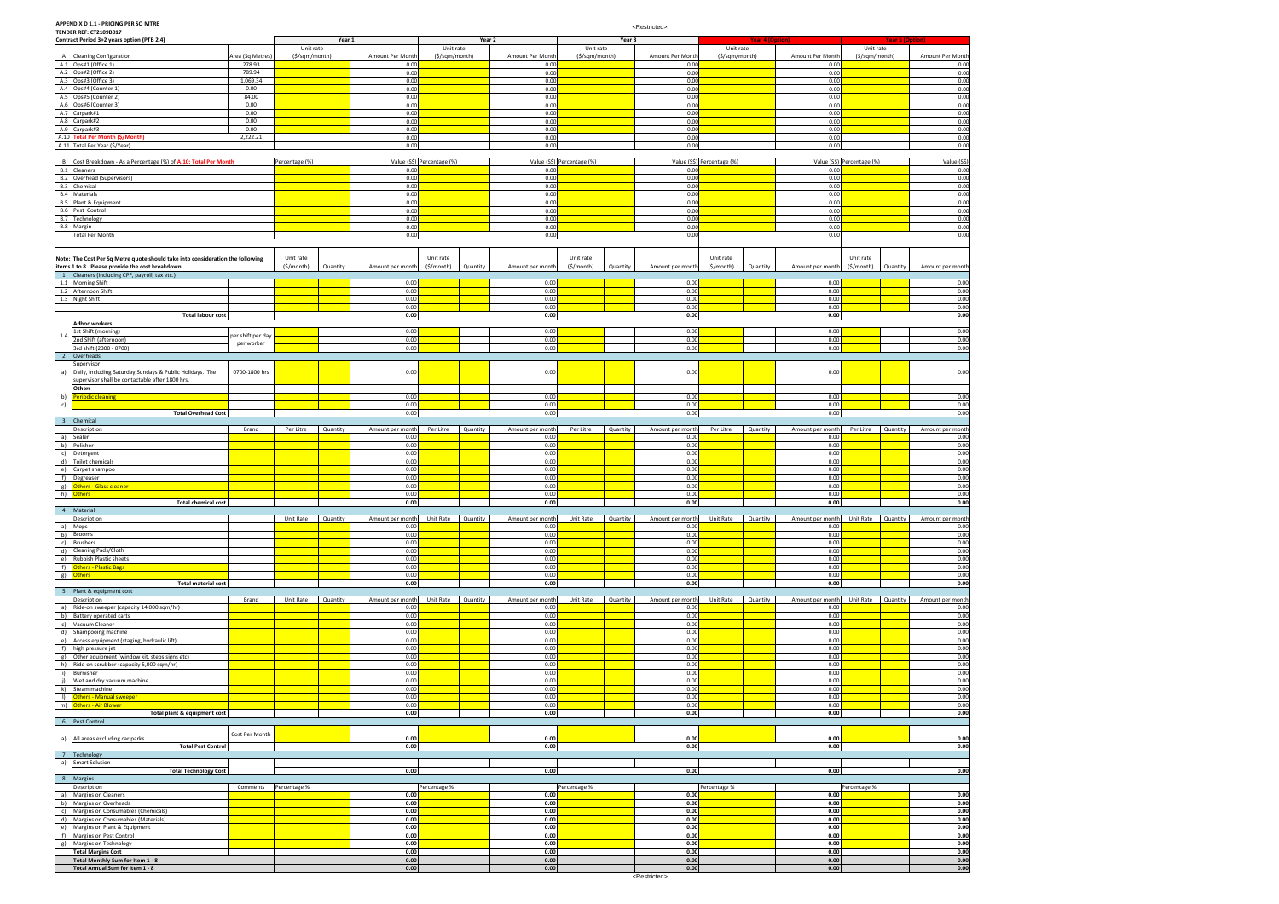# **APPENDIX D 1.1 - PRICING PER SQ MTRE TENDER REF: CT2109B017**

|                         | Contract Period 3+2 years option (PTB 2,4)                                     |                   |                       | Year 1   |                  |                            | Year 2             |                  |                            | Year 3   |                          |                            | <b>Year 4 (Option)</b> |                                     |                            | <b>Year 5 (Option)</b> |                  |
|-------------------------|--------------------------------------------------------------------------------|-------------------|-----------------------|----------|------------------|----------------------------|--------------------|------------------|----------------------------|----------|--------------------------|----------------------------|------------------------|-------------------------------------|----------------------------|------------------------|------------------|
|                         |                                                                                |                   | Unit rate             |          |                  | Unit rate                  |                    |                  | Unit rate                  |          |                          | Unit rate                  |                        |                                     | Unit rate                  |                        |                  |
|                         | A Cleaning Configuration                                                       | Area (Sq Metres   | (\$/sqm/month)        |          | Amount Per Month | (\$/sqm/month)             |                    | Amount Per Month | (\$/sqm/month)             |          | Amount Per Month         | (\$/sqm/month)             |                        | Amount Per Month                    | (\$/sqm/month)             |                        | Amount Per Month |
|                         | A.1 Ops#1 (Office 1)                                                           | 278.93            |                       |          | 0.00             |                            |                    | 0.00             |                            |          | 0.00                     |                            |                        | 0.00                                |                            |                        | 0.00             |
|                         | A.2 Ops#2 (Office 2)                                                           | 789.94            |                       |          | 0.00             |                            |                    | 0.00             |                            |          | 0.00                     |                            |                        | 0.00                                |                            |                        | 0.00             |
|                         | A.3 Ops#3 (Office 3)                                                           | 1,069.34          |                       |          | 0.00             |                            |                    | 0.00             |                            |          | 0.00                     |                            |                        | 0.00                                |                            |                        | 0.00             |
|                         | A.4 Ops#4 (Counter 1)                                                          | 0.00              |                       |          | 0.00             |                            |                    | 0.00             |                            |          | 0.00                     |                            |                        | 0.00                                |                            |                        | 0.00             |
|                         | A.5 Ops#5 (Counter 2)                                                          | 84.00             |                       |          | 0.00             |                            |                    | 0.00             |                            |          | 0.00                     |                            |                        | 0.00                                |                            |                        | 0.00             |
|                         | A.6 Ops#6 (Counter 3)                                                          | 0.00              |                       |          | 0.00             |                            |                    | 0.00             |                            |          | 0.00                     |                            |                        | 0.00                                |                            |                        | 0.00             |
|                         | A.7 Carpark#1                                                                  | 0.00              |                       |          | 0.00             |                            |                    | 0.00             |                            |          | 0.00                     |                            |                        | 0.00                                |                            |                        | 0.00             |
|                         | A.8 Carpark#2                                                                  | 0.00              |                       |          | 0.00             |                            |                    | 0.00             |                            |          | 0.00                     |                            |                        | 0.00                                |                            |                        | 0.00             |
|                         | A.9 Carpark#3                                                                  | 0.00              |                       |          | 0.00             |                            |                    | 0.00             |                            |          | 0.00                     |                            |                        | 0.00                                |                            |                        | 0.00             |
|                         | A.10 Total Per Month (\$/Month)                                                | 2,222.21          |                       |          | 0.00             |                            |                    | 0.00             |                            |          | 0.00                     |                            |                        | 0.00                                |                            |                        | 0.00             |
|                         | A.11 Total Per Year (\$/Year)                                                  |                   |                       |          | 0.00             |                            |                    | 0.00             |                            |          | 0.00                     |                            |                        | 0.00                                |                            |                        | 0.00             |
|                         |                                                                                |                   |                       |          |                  |                            |                    |                  |                            |          |                          |                            |                        |                                     |                            |                        |                  |
|                         | B Cost Breakdown - As a Percentage (%) of A.10: Total Per Month                |                   | Percentage (%)        |          |                  | Value (S\$) Percentage (%) |                    |                  | Value (S\$) Percentage (%) |          |                          | Value (S\$) Percentage (%) |                        |                                     | Value (S\$) Percentage (%) |                        | Value (S\$)      |
|                         | <b>B.1</b> Cleaners                                                            |                   |                       |          | 0.00             |                            |                    | 0.00             |                            |          | 0.00                     |                            |                        | 0.00                                |                            |                        | 0.00             |
|                         | <b>B.2</b> Overhead (Supervisors)                                              |                   |                       |          | 0.00             |                            |                    | 0.00             |                            |          | 0.00                     |                            |                        | 0.00                                |                            |                        | 0.00             |
|                         | B.3 Chemical                                                                   |                   |                       |          | 0.00             |                            |                    | 0.00             |                            |          | 0.00                     |                            |                        | 0.00                                |                            |                        | 0.00             |
|                         | <b>B.4</b> Materials                                                           |                   |                       |          | 0.00             |                            |                    | 0.00             |                            |          | 0.00                     |                            |                        | 0.00                                |                            |                        | 0.00             |
|                         | <b>B.5</b> Plant & Equipment                                                   |                   |                       |          | 0.00             |                            |                    | 0.00             |                            |          | 0.00                     |                            |                        | 0.00                                |                            |                        | 0.00             |
|                         | B.6 Pest Control                                                               |                   |                       |          | 0.00             |                            |                    | 0.00             |                            |          | 0.00                     |                            |                        | 0.00                                |                            |                        | 0.00             |
|                         | B.7 Technology                                                                 |                   |                       |          | 0.00             |                            |                    | 0.00             |                            |          | 0.00                     |                            |                        | 0.00                                |                            |                        | 0.00             |
|                         | B.8 Margin                                                                     |                   |                       |          | 0.00             |                            |                    | 0.00             |                            |          | 0.00                     |                            |                        | 0.00                                |                            |                        | 0.00             |
|                         | <b>Total Per Month</b>                                                         |                   |                       |          | 0.00             |                            |                    | 0.00             |                            |          | 0.00                     |                            |                        | 0.00                                |                            |                        | 0.00             |
|                         |                                                                                |                   |                       |          |                  |                            |                    |                  |                            |          |                          |                            |                        |                                     |                            |                        |                  |
|                         |                                                                                |                   |                       |          |                  |                            |                    |                  |                            |          |                          |                            |                        |                                     |                            |                        |                  |
|                         | Note: The Cost Per Sq Metre quote should take into consideration the following |                   | Unit rate             |          |                  | Unit rate                  |                    |                  | Unit rate                  |          |                          | Unit rate                  |                        |                                     | Unit rate                  |                        |                  |
|                         | items 1 to 8. Please provide the cost breakdown                                |                   | $(\frac{2}{3}/month)$ | Quantity | Amount per month | $(\frac{1}{2})^{(n)}$      | Quantity           | Amount per month | (\$/month)                 | Quantity | Amount per month         | $(\frac{1}{2})^{(n)}$      | Quantity               | Amount per month                    | (S/month)                  | Quantity               | Amount per month |
|                         | 1 Cleaners (including CPF, payroll, tax etc.)                                  |                   |                       |          |                  |                            |                    |                  |                            |          |                          |                            |                        |                                     |                            |                        |                  |
|                         | 1.1 Morning Shift                                                              |                   |                       |          | 0.00             |                            |                    | 0.00             |                            |          | 0.00                     |                            |                        | 0.00                                |                            |                        | 0.00             |
|                         | 1.2 Afternoon Shift                                                            |                   |                       |          | 0.00             |                            |                    | 0.00             |                            |          | 0.00                     |                            |                        | 0.00                                |                            |                        | 0.00             |
|                         | 1.3 Night Shift                                                                |                   |                       |          | 0.00             |                            |                    | 0.00             |                            |          | 0.00                     |                            |                        | 0.00                                |                            |                        | 0.00             |
|                         |                                                                                |                   |                       |          | 0.00             |                            |                    | 0.00             |                            |          | 0.00                     |                            |                        | 0.00                                |                            |                        | 0.00             |
|                         | <b>Total labour cost</b>                                                       |                   |                       |          | 0.00             |                            |                    | 0.00             |                            |          | 0.00                     |                            |                        | 0.00                                |                            |                        | 0.00             |
|                         | <b>Adhoc workers</b>                                                           |                   |                       |          |                  |                            |                    |                  |                            |          |                          |                            |                        |                                     |                            |                        |                  |
|                         | 1st Shift (morning)                                                            |                   |                       |          | 0.00             |                            |                    | 0.00             |                            |          | 0.00                     |                            |                        | 0.00                                |                            |                        | 0.00             |
| $1.4\,$                 | 2nd Shift (afternoon)                                                          | per shift per day |                       |          | 0.00             |                            |                    | 0.00             |                            |          | 0.00                     |                            |                        | 0.00                                |                            |                        | 0.00             |
|                         | 3rd shift (2300 - 0700)                                                        | per worker        |                       |          | 0.00             |                            |                    | 0.00             |                            |          | 0.00                     |                            |                        | 0.00                                |                            |                        | 0.00             |
| $\overline{2}$          | Overheads                                                                      |                   |                       |          |                  |                            |                    |                  |                            |          |                          |                            |                        |                                     |                            |                        |                  |
|                         | Supervisor                                                                     |                   |                       |          |                  |                            |                    |                  |                            |          |                          |                            |                        |                                     |                            |                        |                  |
| a)                      | Daily, including Saturday, Sundays & Public Holidays. The                      | 0700-1800 hrs     |                       |          | 0.00             |                            |                    | 0.00             |                            |          | 0.00                     |                            |                        | 0.00                                |                            |                        | 0.00             |
|                         | supervisor shall be contactable after 1800 hrs.                                |                   |                       |          |                  |                            |                    |                  |                            |          |                          |                            |                        |                                     |                            |                        |                  |
|                         | <b>Others</b>                                                                  |                   |                       |          |                  |                            |                    |                  |                            |          |                          |                            |                        |                                     |                            |                        |                  |
| b)                      | Periodic cleaning                                                              |                   |                       |          | 0.00             |                            |                    | 0.00             |                            |          | 0.00                     |                            |                        | 0.00                                |                            |                        | 0.00             |
| c)                      |                                                                                |                   |                       |          | 0.00             |                            |                    | 0.00             |                            |          | 0.00                     |                            |                        | 0.00                                |                            |                        | 0.00             |
|                         | <b>Total Overhead Cost</b>                                                     |                   |                       |          | 0.00             |                            |                    | 0.00             |                            |          | 0.00                     |                            |                        | 0.00                                |                            |                        | 0.00             |
| $\overline{\mathbf{3}}$ |                                                                                |                   |                       |          |                  |                            |                    |                  |                            |          |                          |                            |                        |                                     |                            |                        |                  |
|                         | Chemical                                                                       |                   |                       |          |                  |                            |                    |                  |                            |          |                          |                            |                        |                                     |                            |                        |                  |
|                         | Description                                                                    | Brand             | Per Litre             | Quantity | Amount per month | Per Litre                  | Quantity           | Amount per month | Per Litre                  | Quantity | Amount per month<br>0.00 | Per Litre                  | Quantity               | Amount per month                    | Per Litre                  | Quantity               | Amount per month |
|                         | a) Sealer                                                                      |                   |                       |          | 0.00<br>0.00     |                            |                    | 0.00<br>0.00     |                            |          | 0.00                     |                            |                        | 0.00<br>0.00                        |                            |                        | 0.00<br>0.00     |
|                         | b) Polisher<br>c) Detergent                                                    |                   |                       |          | 0.00             |                            |                    | 0.00             |                            |          | 0.00                     |                            |                        | 0.00                                |                            |                        | 0.00             |
|                         |                                                                                |                   |                       |          | 0.00             |                            |                    | 0.00             |                            |          | 0.00                     |                            |                        | 0.00                                |                            |                        | 0.00             |
|                         | d) Toilet chemicals                                                            |                   |                       |          |                  |                            |                    |                  |                            |          |                          |                            |                        |                                     |                            |                        |                  |
|                         | e) Carpet shampoo                                                              |                   |                       |          | 0.00             |                            |                    | 0.00             |                            |          | 0.00                     |                            |                        | 0.00                                |                            |                        | 0.00             |
| f)                      | Degreaser                                                                      |                   |                       |          | 0.00             |                            |                    | 0.00             |                            |          | 0.00                     |                            |                        | 0.00                                |                            |                        | 0.00             |
|                         | g) <b>Others - Glass cleaner</b>                                               |                   |                       |          | 0.00             |                            |                    | 0.00             |                            |          | 0.00                     |                            |                        | 0.00                                |                            |                        | 0.00             |
|                         | h) Others                                                                      |                   |                       |          | 0.00             |                            |                    | 0.00             |                            |          | 0.00                     |                            |                        | 0.00                                |                            |                        | 0.00             |
|                         | <b>Total chemical cost</b>                                                     |                   |                       |          | 0.00             |                            |                    | 0.00             |                            |          | 0.00                     |                            |                        | 0.00                                |                            |                        | 0.00             |
|                         | 4 Material                                                                     |                   |                       |          |                  |                            |                    |                  |                            |          |                          |                            |                        |                                     |                            |                        |                  |
|                         | Description                                                                    |                   | Unit Rate Quantity    |          | Amount per month |                            | Unit Rate Quantity | Amount per month | Unit Rate                  | Quantity | Amount per month         | Unit Rate Quantity         |                        | Amount per month Unit Rate Quantity |                            |                        | Amount per month |
|                         | a) Mops                                                                        |                   |                       |          | 0.00             |                            |                    | 0.00             |                            |          | 0.00                     |                            |                        | 0.00                                |                            |                        | 0.00             |
|                         | b) Brooms                                                                      |                   |                       |          | 0.00             |                            |                    | 0.00             |                            |          | 0.00                     |                            |                        | 0.00                                |                            |                        | 0.00             |
|                         | c) Brushers                                                                    |                   |                       |          | 0.00             |                            |                    | 0.00<br>0.00     |                            |          | 0.00<br>0.00             |                            |                        | 0.00                                |                            |                        | 0.00             |
|                         | d) Cleaning Pads/Cloth                                                         |                   |                       |          | 0.00             |                            |                    |                  |                            |          |                          |                            |                        | 0.00                                |                            |                        | 0.00             |
|                         | e) Rubbish Plastic sheets                                                      |                   |                       |          |                  |                            |                    |                  |                            |          |                          |                            |                        |                                     |                            |                        | 0.00             |
|                         | f) Others - Plastic Bags                                                       |                   |                       |          | 0.00             |                            |                    | 0.00             |                            |          | 0.00                     |                            |                        | 0.00                                |                            |                        |                  |
|                         | g) Others                                                                      |                   |                       |          | 0.00             |                            |                    | 0.00             |                            |          | 0.00                     |                            |                        | 0.00                                |                            |                        | 0.00             |
|                         | <b>Total material cost</b>                                                     |                   |                       |          | 0.00             |                            |                    | 0.00             |                            |          | 0.00                     |                            |                        | 0.00                                |                            |                        | 0.00             |
|                         |                                                                                |                   |                       |          | 0.00             |                            |                    | 0.00             |                            |          | 0.00                     |                            |                        | 0.00                                |                            |                        | 0.00             |
|                         | 5 Plant & equipment cost                                                       |                   |                       |          |                  |                            |                    |                  |                            |          |                          |                            |                        |                                     |                            |                        |                  |
|                         | Description                                                                    | Brand             | Unit Rate             | Quantity | Amount per month | Unit Rate                  | Quantity           | Amount per month | Unit Rate                  | Quantity | Amount per month         | Unit Rate                  | Quantity               | Amount per month                    | Unit Rate                  | Quantity               | Amount per month |
|                         | a) Ride-on sweeper (capacity 14,000 sqm/hr)                                    |                   |                       |          | 0.00             |                            |                    | 0.00             |                            |          | 0.00                     |                            |                        | 0.00                                |                            |                        | 0.00             |
|                         | b) Battery operated carts                                                      |                   |                       |          | 0.00             |                            |                    | 0.00             |                            |          | 0.00                     |                            |                        | 0.00                                |                            |                        | 0.00             |
|                         | c) Vacuum Cleaner                                                              |                   |                       |          | 0.00             |                            |                    | 0.00             |                            |          | 0.00                     |                            |                        | 0.00                                |                            |                        | 0.00             |
|                         | d) Shampooing machine                                                          |                   |                       |          | 0.00             |                            |                    | 0.00             |                            |          | 0.00                     |                            |                        | 0.00                                |                            |                        | 0.00             |
|                         | e) Access equipment (staging, hydraulic lift)                                  |                   |                       |          | 0.00             |                            |                    | 0.00             |                            |          | 0.00                     |                            |                        | 0.00                                |                            |                        | 0.00             |
|                         | f) high pressure jet                                                           |                   |                       |          | 0.00             |                            |                    | 0.00             |                            |          | 0.00                     |                            |                        | 0.00                                |                            |                        | 0.00             |
|                         | g) Other equipment (window kit, steps, signs etc)                              |                   |                       |          | 0.00             |                            |                    | 0.00             |                            |          | 0.00                     |                            |                        | 0.00                                |                            |                        | 0.00             |
|                         | h) Ride-on scrubber (capacity 5,000 sqm/hr)                                    |                   |                       |          | 0.00             |                            |                    | 0.00             |                            |          | 0.00                     |                            |                        | 0.00                                |                            |                        | 0.00             |
|                         | i) Burnisher                                                                   |                   |                       |          | 0.00             |                            |                    | 0.00             |                            |          | 0.00                     |                            |                        | 0.00                                |                            |                        | 0.00             |
|                         | j) Wet and dry vacuum machine                                                  |                   |                       |          | 0.00             |                            |                    | 0.00             |                            |          | 0.00                     |                            |                        | 0.00                                |                            |                        | 0.00             |
|                         | k) Steam machine                                                               |                   |                       |          | 0.00             |                            |                    | 0.00             |                            |          | 0.00                     |                            |                        | 0.00                                |                            |                        | 0.00             |
|                         | I) <b>Others - Manual sweeper</b>                                              |                   |                       |          | 0.00             |                            |                    | 0.00             |                            |          | 0.00                     |                            |                        | 0.00                                |                            |                        | 0.00             |
|                         | m) Others - Air Blower                                                         |                   |                       |          | 0.00             |                            |                    | 0.00             |                            |          | 0.00                     |                            |                        | 0.00                                |                            |                        | 0.00             |
|                         | Total plant & equipment cost                                                   |                   |                       |          | 0.00             |                            |                    | 0.00             |                            |          | 0.00                     |                            |                        | 0.00                                |                            |                        | 0.00             |
|                         | 6 Pest Control                                                                 |                   |                       |          |                  |                            |                    |                  |                            |          |                          |                            |                        |                                     |                            |                        |                  |
|                         |                                                                                | Cost Per Month    |                       |          |                  |                            |                    |                  |                            |          |                          |                            |                        |                                     |                            |                        |                  |
|                         | a) All areas excluding car parks                                               |                   |                       |          | 0.00             |                            |                    | 0.00             |                            |          | 0.00                     |                            |                        | 0.00                                |                            |                        | 0.00             |
|                         | <b>Total Pest Control</b>                                                      |                   |                       |          | 0.00             |                            |                    | 0.00             |                            |          | 0.00                     |                            |                        | 0.00                                |                            |                        | 0.00             |
|                         | 7 Technology                                                                   |                   |                       |          |                  |                            |                    |                  |                            |          |                          |                            |                        |                                     |                            |                        |                  |
|                         | a) Smart Solution                                                              |                   |                       |          |                  |                            |                    |                  |                            |          |                          |                            |                        |                                     |                            |                        |                  |
|                         | <b>Total Technology Cost</b>                                                   |                   |                       |          | 0.00             |                            |                    | 0.00             |                            |          | 0.00                     |                            |                        | 0.00                                |                            |                        | 0.00             |
|                         | 8 Margins                                                                      |                   |                       |          |                  |                            |                    |                  |                            |          |                          |                            |                        |                                     |                            |                        |                  |
|                         | Description                                                                    | Comments          | Percentage %          |          |                  | Percentage %               |                    |                  | Percentage %               |          |                          | Percentage %               |                        |                                     | Percentage %               |                        |                  |
|                         | a) Margins on Cleaners                                                         |                   |                       |          | 0.00             |                            |                    | 0.00             |                            |          | 0.00                     |                            |                        | 0.00                                |                            |                        | 0.00             |
|                         | b) Margins on Overheads                                                        |                   |                       |          | 0.00             |                            |                    | 0.00             |                            |          | 0.00                     |                            |                        | 0.00                                |                            |                        | 0.00             |
|                         | c) Margins on Consumables (Chemicals)                                          |                   |                       |          | 0.00             |                            |                    | 0.00             |                            |          | 0.00                     |                            |                        | 0.00                                |                            |                        | 0.00             |
|                         | d) Margins on Consumables (Materials)                                          |                   |                       |          | 0.00             |                            |                    | 0.00             |                            |          | 0.00                     |                            |                        | 0.00                                |                            |                        | 0.00             |
|                         | e) Margins on Plant & Equipment                                                |                   |                       |          | 0.00             |                            |                    | 0.00             |                            |          | 0.00                     |                            |                        | 0.00                                |                            |                        | 0.00             |
|                         | f) Margins on Pest Control                                                     |                   |                       |          | 0.00             |                            |                    | 0.00             |                            |          | 0.00                     |                            |                        | 0.00                                |                            |                        | 0.00             |
|                         | g) Margins on Technology                                                       |                   |                       |          | 0.00             |                            |                    | 0.00             |                            |          | 0.00                     |                            |                        | 0.00                                |                            |                        | 0.00             |
|                         | <b>Total Margins Cost</b><br>Total Monthly Sum for Item 1 - 8                  |                   |                       |          | 0.00<br>0.00     |                            |                    | 0.00<br>0.00     |                            |          | 0.00<br>0.00             |                            |                        | 0.00<br>0.00                        |                            |                        | 0.00<br>0.00     |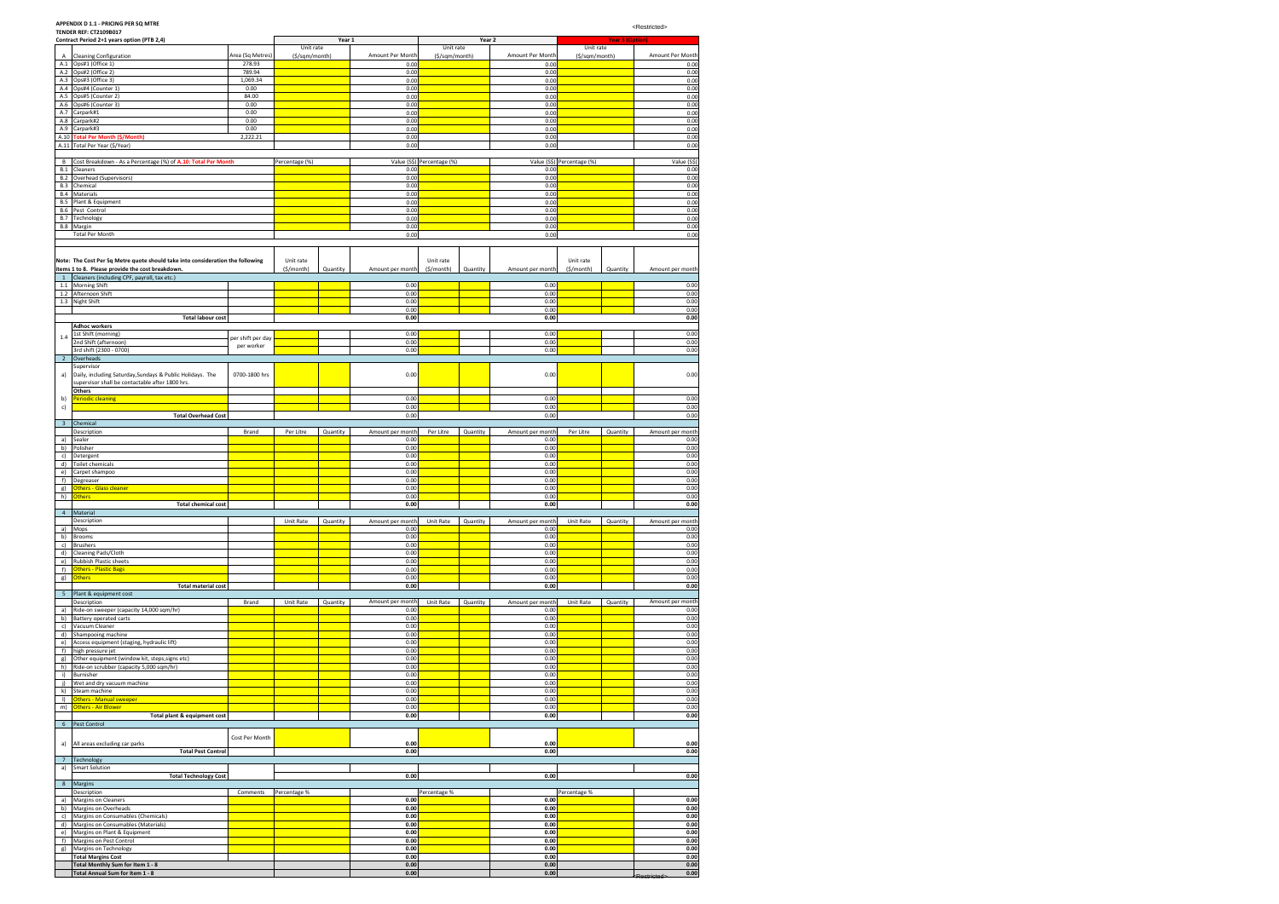## **APPENDIX D 1.1 - PRICING PER SQ MTRE**

|                   | <b>TENDER REF: CT2109B017</b><br>Contract Period 2+1 years option (PTB 2,4)                                  |                            |                | Year 1   |                          |                            | Year 2   |                          |                            | <b>Year 3 (Option)</b> |                             |
|-------------------|--------------------------------------------------------------------------------------------------------------|----------------------------|----------------|----------|--------------------------|----------------------------|----------|--------------------------|----------------------------|------------------------|-----------------------------|
|                   |                                                                                                              |                            | Unit rate      |          |                          | Unit rate                  |          |                          | Unit rate                  |                        |                             |
| Α<br>A.1          | <b>Cleaning Configuration</b><br>Ops#1 (Office 1)                                                            | Area (Sq Metres)<br>278.93 | (\$/sqm/month) |          | Amount Per Month<br>0.00 | (\$/sqm/month)             |          | Amount Per Month<br>0.00 | (\$/sqm/month)             |                        | Amount Per Month<br>0.00    |
| A.2               | Ops#2 (Office 2)                                                                                             | 789.94                     |                |          | 0.00                     |                            |          | 0.00                     |                            |                        | 0.00                        |
| A.3               | Ops#3 (Office 3)                                                                                             | 1,069.34                   |                |          | 0.00                     |                            |          | 0.00                     |                            |                        | 0.00                        |
| A.4<br>A.5        | Ops#4 (Counter 1)<br>Ops#5 (Counter 2)                                                                       | 0.00<br>84.00              |                |          | 0.00<br>0.00             |                            |          | 0.00<br>0.00             |                            |                        | 0.00<br>0.00                |
| A.6               | Ops#6 (Counter 3)                                                                                            | 0.00                       |                |          | 0.00                     |                            |          | 0.00                     |                            |                        | 0.00                        |
| A.7               | Carpark#1                                                                                                    | 0.00                       |                |          | 0.00                     |                            |          | 0.00                     |                            |                        | 0.00                        |
| A.8<br>A.9        | Carpark#2<br>Carpark#3                                                                                       | 0.00<br>0.00               |                |          | 0.00<br>0.00             |                            |          | 0.00<br>0.00             |                            |                        | 0.00<br>0.00                |
|                   | A.10 Total Per Month (\$/Month)                                                                              | 2,222.21                   |                |          | 0.00                     |                            |          | 0.00                     |                            |                        | 0.00                        |
|                   | A.11 Total Per Year (\$/Year)                                                                                |                            |                |          | 0.00                     |                            |          | 0.00                     |                            |                        | 0.00                        |
| В                 | Cost Breakdown - As a Percentage (%) of A.10: Total Per Month                                                |                            | Percentage (%) |          |                          | Value (S\$) Percentage (%) |          |                          | Value (S\$) Percentage (%) |                        | Value (S\$)                 |
| B.1               | Cleaners                                                                                                     |                            |                |          | 0.00                     |                            |          | 0.00                     |                            |                        | 0.00                        |
| B.2               | Overhead (Supervisors)                                                                                       |                            |                |          | 0.00                     |                            |          | 0.00                     |                            |                        | 0.00                        |
| B.3<br><b>B.4</b> | Chemical<br>Materials                                                                                        |                            |                |          | 0.00<br>0.00             |                            |          | 0.00<br>0.00             |                            |                        | 0.00<br>0.00                |
| <b>B.5</b>        | Plant & Equipment                                                                                            |                            |                |          | 0.00                     |                            |          | 0.00                     |                            |                        | 0.00                        |
| B.6               | Pest Control                                                                                                 |                            |                |          | 0.00                     |                            |          | 0.00                     |                            |                        | 0.00                        |
| B.7               | Technology<br>B.8 Margin                                                                                     |                            |                |          | 0.00<br>0.00             |                            |          | 0.00<br>0.00             |                            |                        | 0.00<br>0.00                |
|                   | <b>Total Per Month</b>                                                                                       |                            |                |          | 0.00                     |                            |          | 0.00                     |                            |                        | 0.00                        |
|                   |                                                                                                              |                            |                |          |                          |                            |          |                          |                            |                        |                             |
|                   | Note: The Cost Per Sq Metre quote should take into consideration the following                               |                            | Unit rate      |          |                          | Unit rate                  |          |                          | Unit rate                  |                        |                             |
|                   | items 1 to 8. Please provide the cost breakdown.                                                             |                            | (\$/month)     | Quantity | Amount per month         | $(\frac{1}{2}/month)$      | Quantity | Amount per month         | (\$/month)                 | Quantity               | Amount per month            |
| $\mathbf{1}$      | Cleaners (including CPF, payroll, tax etc.)                                                                  |                            |                |          |                          |                            |          |                          |                            |                        |                             |
| 1.1<br>1.2        | <b>Morning Shift</b><br>Afternoon Shift                                                                      |                            |                |          | 0.00<br>0.00             |                            |          | 0.00<br>0.00             |                            |                        | 0.00<br>0.00                |
|                   | 1.3 Night Shift                                                                                              |                            |                |          | 0.00                     |                            |          | 0.00                     |                            |                        | 0.00                        |
|                   |                                                                                                              |                            |                |          | 0.00                     |                            |          | 0.00                     |                            |                        | 0.00                        |
|                   | <b>Total labour cost</b><br><b>Adhoc workers</b>                                                             |                            |                |          | 0.00                     |                            |          | 0.00                     |                            |                        | 0.00                        |
| 1.4               | 1st Shift (morning)                                                                                          | per shift per day          |                |          | 0.00                     |                            |          | 0.00                     |                            |                        | 0.00                        |
|                   | 2nd Shift (afternoon)                                                                                        | per worker                 |                |          | 0.00                     |                            |          | 0.00                     |                            |                        | 0.00                        |
| $\overline{2}$    | 3rd shift (2300 - 0700)<br>Overheads                                                                         |                            |                |          | 0.00                     |                            |          | 0.00                     |                            |                        | 0.00                        |
|                   | Supervisor                                                                                                   |                            |                |          |                          |                            |          |                          |                            |                        |                             |
| a)                | Daily, including Saturday, Sundays & Public Holidays. The<br>supervisor shall be contactable after 1800 hrs. | 0700-1800 hrs              |                |          | 0.00                     |                            |          | 0.00                     |                            |                        | 0.00                        |
|                   | <b>Others</b>                                                                                                |                            |                |          |                          |                            |          |                          |                            |                        |                             |
| b)                | Periodic cleaning                                                                                            |                            |                |          | 0.00                     |                            |          | 0.00                     |                            |                        | 0.00                        |
| c)                | <b>Total Overhead Cost</b>                                                                                   |                            |                |          | 0.00<br>0.00             |                            |          | 0.00<br>0.00             |                            |                        | 0.00<br>0.00                |
| 3                 | Chemical                                                                                                     |                            |                |          |                          |                            |          |                          |                            |                        |                             |
|                   | Description                                                                                                  | Brand                      | Per Litre      | Quantity | Amount per month         | Per Litre                  | Quantity | Amount per month         | Per Litre                  | Quantity               | Amount per month            |
| a)<br>b)          | Sealer<br>Polisher                                                                                           |                            |                |          | 0.00<br>0.00             |                            |          | 0.00<br>0.00             |                            |                        | 0.00<br>0.00                |
| c)                | Detergent                                                                                                    |                            |                |          | 0.00                     |                            |          | 0.00                     |                            |                        | 0.00                        |
| d)                | Toilet chemicals                                                                                             |                            |                |          | 0.00                     |                            |          | 0.00                     |                            |                        | 0.00                        |
| e)<br>f)          | Carpet shampoo<br>Degreaser                                                                                  |                            |                |          | 0.00<br>0.00             |                            |          | 0.00<br>0.00             |                            |                        | 0.00<br>0.00                |
| g)                | Others - Glass cleaner                                                                                       |                            |                |          | 0.00                     |                            |          | 0.00                     |                            |                        | 0.00                        |
| h)                | <b>Others</b>                                                                                                |                            |                |          | 0.00                     |                            |          | 0.00                     |                            |                        | 0.00                        |
|                   | <b>Total chemical cost</b><br>4 Material                                                                     |                            |                |          | 0.00                     |                            |          | 0.00                     |                            |                        | 0.00                        |
|                   | Description                                                                                                  |                            | Unit Rate      | Quantity | Amount per month         | Unit Rate                  | Quantity | Amount per month         | Unit Rate                  | Quantity               | Amount per month            |
| a)                | Mops                                                                                                         |                            |                |          | 0.00                     |                            |          | 0.00                     |                            |                        | 0.00                        |
| b)<br>c)          | <b>Brooms</b><br><b>Brushers</b>                                                                             |                            |                |          | 0.00<br>0.00             |                            |          | 0.00<br>0.00             |                            |                        | 0.00<br>0.00                |
| d)                | Cleaning Pads/Cloth                                                                                          |                            |                |          | 0.00                     |                            |          | 0.00                     |                            |                        | 0.00                        |
| e)                | Rubbish Plastic sheets<br><b>Others - Plastic Bags</b>                                                       |                            |                |          | 0.00<br>0.00             |                            |          | 0.00<br>0.00             |                            |                        | 0.00<br>0.00                |
| f)<br>g)          | <b>Others</b>                                                                                                |                            |                |          | 0.00                     |                            |          | 0.00                     |                            |                        | 0.00                        |
|                   | <b>Total material cost</b>                                                                                   |                            |                |          | 0.00                     |                            |          | 0.00                     |                            |                        | 0.00                        |
| 5                 | Plant & equipment cost<br>Description                                                                        | Brand                      | Unit Rate      | Quantity | Amount per month         | Unit Rate                  | Quantity |                          | Unit Rate                  | Quantity               | Amount per month            |
| a)                | Ride-on sweeper (capacity 14,000 sqm/hr)                                                                     |                            |                |          | 0.00                     |                            |          | Amount per month<br>0.00 |                            |                        | 0.00                        |
| b)                | Battery operated carts                                                                                       |                            |                |          | 0.00                     |                            |          | 0.00                     |                            |                        | 0.00                        |
| c)<br>d)          | Vacuum Cleaner<br>Shampooing machine                                                                         |                            |                |          | 0.00<br>0.00             |                            |          | 0.00<br>0.00             |                            |                        | 0.00<br>0.00                |
| e)                | Access equipment (staging, hydraulic lift)                                                                   |                            |                |          | 0.00                     |                            |          | 0.00                     |                            |                        | 0.00                        |
| f)                | high pressure jet                                                                                            |                            |                |          | 0.00                     |                            |          | 0.00                     |                            |                        | 0.00                        |
| g)<br>h)          | Other equipment (window kit, steps, signs etc)<br>Ride-on scrubber (capacity 5,000 sqm/hr)                   |                            |                |          | 0.00<br>0.00             |                            |          | 0.00<br>0.00             |                            |                        | 0.00<br>0.00                |
| i)                | Burnisher                                                                                                    |                            |                |          | 0.00                     |                            |          | 0.00                     |                            |                        | 0.00                        |
| i)                | Wet and dry vacuum machine                                                                                   |                            |                |          | 0.00                     |                            |          | 0.00                     |                            |                        | 0.00                        |
| k)<br>$\vert$     | Steam machine<br>Others - Manual sweeper                                                                     |                            |                |          | 0.00<br>0.00             |                            |          | 0.00<br>0.00             |                            |                        | 0.00<br>0.00                |
| m)                | Others - Air Blower                                                                                          |                            |                |          | 0.00                     |                            |          | 0.00                     |                            |                        | 0.00                        |
|                   | Total plant & equipment cost                                                                                 |                            |                |          | 0.00                     |                            |          | 0.00                     |                            |                        | 0.00                        |
| 6 <sup>1</sup>    | Pest Control                                                                                                 |                            |                |          |                          |                            |          |                          |                            |                        |                             |
| a)                | All areas excluding car parks                                                                                | Cost Per Month             |                |          | 0.00                     |                            |          | 0.00                     |                            |                        | 0.00                        |
|                   | <b>Total Pest Control</b>                                                                                    |                            |                |          | 0.00                     |                            |          | 0.00                     |                            |                        | 0.00                        |
| $\overline{7}$    | Technology                                                                                                   |                            |                |          |                          |                            |          |                          |                            |                        |                             |
| a)                | <b>Smart Solution</b><br><b>Total Technology Cost</b>                                                        |                            |                |          | 0.00                     |                            |          | 0.00                     |                            |                        | 0.00                        |
| $8\phantom{1}$    | Margins                                                                                                      |                            |                |          |                          |                            |          |                          |                            |                        |                             |
|                   | Description                                                                                                  | Comments                   | Percentage %   |          |                          | Percentage %               |          |                          | Percentage %               |                        |                             |
| a)<br>b)          | Margins on Cleaners<br>Margins on Overheads                                                                  |                            |                |          | 0.00<br>0.00             |                            |          | 0.00<br>0.00             |                            |                        | 0.00<br>0.00                |
| c)                | Margins on Consumables (Chemicals)                                                                           |                            |                |          | 0.00                     |                            |          | 0.00                     |                            |                        | 0.00                        |
| d)                | Margins on Consumables (Materials)                                                                           |                            |                |          | 0.00                     |                            |          | 0.00                     |                            |                        | 0.00                        |
| e)<br>f)          | Margins on Plant & Equipment<br>Margins on Pest Control                                                      |                            |                |          | 0.00<br>0.00             |                            |          | 0.00<br>0.00             |                            |                        | 0.00<br>0.00                |
|                   | g) Margins on Technology                                                                                     |                            |                |          | 0.00                     |                            |          | 0.00                     |                            |                        | 0.00                        |
|                   | <b>Total Margins Cost</b>                                                                                    |                            |                |          | 0.00                     |                            |          | 0.00                     |                            |                        | 0.00                        |
|                   | Total Monthly Sum for Item 1 - 8<br>Total Annual Sum for Item 1 - 8                                          |                            |                |          | 0.00<br>0.00             |                            |          | 0.00<br>0.00             |                            |                        | 0.00<br>0.00<br>Restricted: |
|                   |                                                                                                              |                            |                |          |                          |                            |          |                          |                            |                        |                             |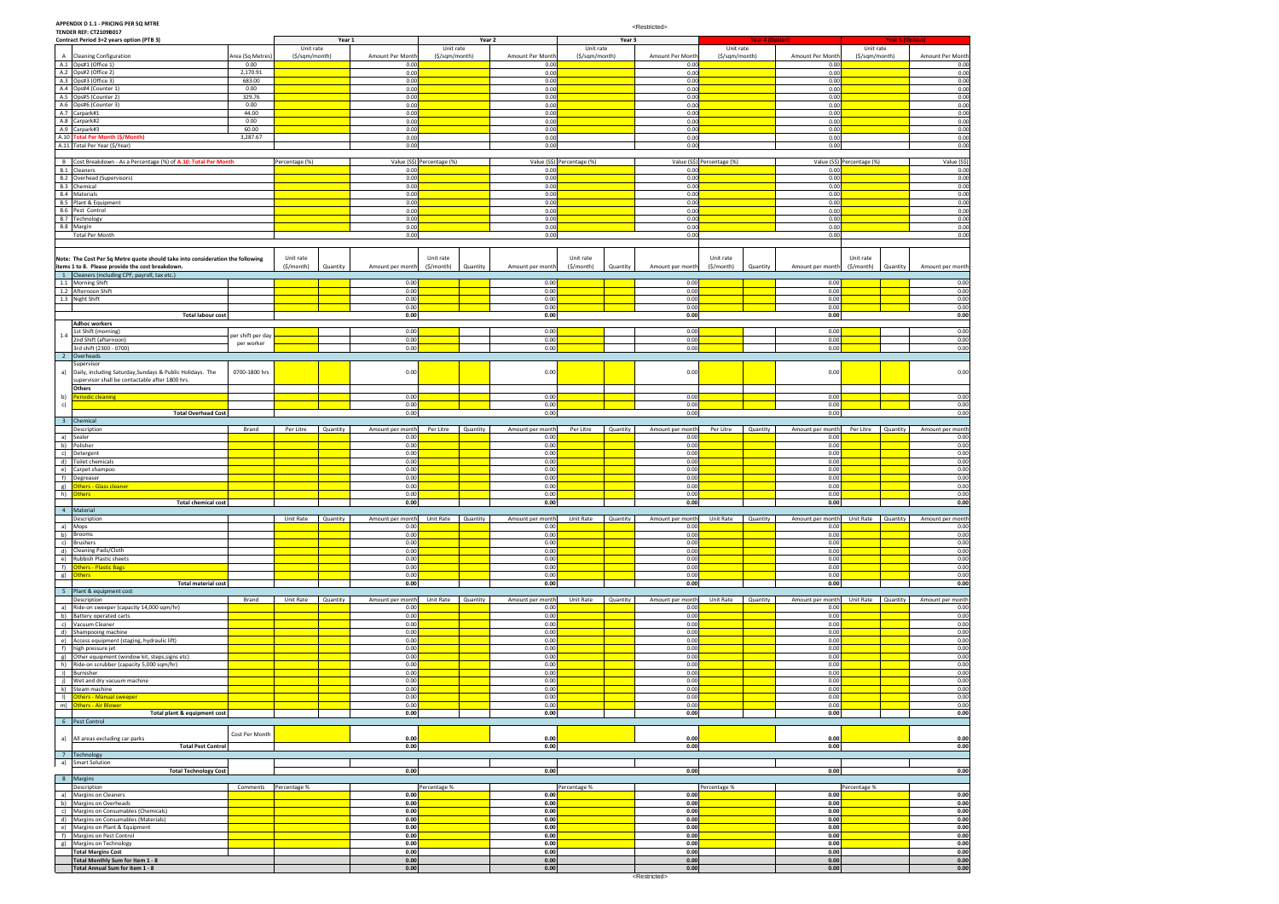**APPENDIX D 1.1 - PRICING PER SQ MTRE TENDER REF: CT2109B017**

|            | Contract Period 3+2 years option (PTB 3)                                       |                   |                | Year 1   |                  |                            | Year 2   |                  |                | Year 3          |                  |                            | <b>Year 4 (Option)</b> |                                     |                            | <b>Year 5 (Option)</b> |                  |
|------------|--------------------------------------------------------------------------------|-------------------|----------------|----------|------------------|----------------------------|----------|------------------|----------------|-----------------|------------------|----------------------------|------------------------|-------------------------------------|----------------------------|------------------------|------------------|
|            |                                                                                |                   | Unit rate      |          |                  | Unit rate                  |          |                  | Unit rate      |                 |                  | Unit rate                  |                        |                                     | Unit rate                  |                        |                  |
| A          | <b>Cleaning Configuration</b>                                                  | Area (Sq Metres)  | (\$/sqm/month) |          | Amount Per Month | (\$/sqm/month)             |          | Amount Per Month | (\$/sqm/month) |                 | Amount Per Month | (\$/sqm/month)             |                        | Amount Per Month                    | (\$/sqm/month)             |                        | Amount Per Month |
|            | A.1 Ops#1 (Office 1)                                                           | 0.00              |                |          | 0.00             |                            |          | 0.00             |                |                 | 0.00             |                            |                        | 0.00                                |                            |                        | 0.00             |
|            | A.2 Ops#2 (Office 2)                                                           | 2,170.91          |                |          | 0.00             |                            |          | 0.00             |                |                 | 0.00             |                            |                        | 0.00                                |                            |                        | 0.00             |
|            | A.3 Ops#3 (Office 3)                                                           | 683.00            |                |          | 0.00             |                            |          | 0.00             |                |                 | 0.00             |                            |                        | 0.00                                |                            |                        | 0.00             |
|            | A.4 Ops#4 (Counter 1)                                                          | 0.00              |                |          | 0.00             |                            |          | 0.00             |                |                 | 0.00             |                            |                        | 0.00                                |                            |                        | 0.00             |
|            | A.5 Ops#5 (Counter 2)                                                          | 329.76            |                |          | 0.00             |                            |          | 0.00             |                |                 | 0.00             |                            |                        | 0.00                                |                            |                        | 0.00             |
|            | A.6 Ops#6 (Counter 3)                                                          | 0.00              |                |          | 0.00             |                            |          | 0.00             |                |                 | 0.00             |                            |                        | 0.00                                |                            |                        | 0.00             |
|            | A.7 Carpark#1                                                                  | 44.00             |                |          | 0.00             |                            |          | 0.00             |                |                 | 0.00             |                            |                        | 0.00                                |                            |                        | 0.00             |
|            | A.8 Carpark#2                                                                  | 0.00              |                |          | 0.00             |                            |          | 0.00             |                |                 | 0.00             |                            |                        | 0.00                                |                            |                        | 0.00             |
| A.9        | Carpark#3                                                                      | 60.00             |                |          | 0.00             |                            |          | 0.00             |                |                 | 0.00             |                            |                        | 0.00                                |                            |                        | 0.00             |
|            | A.10 Total Per Month (\$/Month)                                                | 3,287.67          |                |          | 0.00             |                            |          | 0.00             |                |                 | 0.00             |                            |                        | 0.00                                |                            |                        | 0.00             |
|            | A.11 Total Per Year (\$/Year)                                                  |                   |                |          | 0.00             |                            |          | 0.00             |                |                 | 0.00             |                            |                        | 0.00                                |                            |                        | 0.00             |
|            |                                                                                |                   |                |          |                  |                            |          |                  |                |                 |                  |                            |                        |                                     |                            |                        |                  |
|            | B Cost Breakdown - As a Percentage (%) of A.10: Total Per Month                |                   | Percentage (%) |          |                  | Value (S\$) Percentage (%) |          | Value (S\$)      | Percentage (%) |                 |                  | Value (S\$) Percentage (%) |                        |                                     | Value (S\$) Percentage (%) |                        | Value (S\$)      |
|            | <b>B.1</b> Cleaners                                                            |                   |                |          | 0.00             |                            |          | 0.00             |                |                 | 0.00             |                            |                        | 0.00                                |                            |                        | 0.00             |
|            | <b>B.2</b> Overhead (Supervisors)                                              |                   |                |          | 0.00             |                            |          | 0.00             |                |                 | 0.00             |                            |                        | 0.00                                |                            |                        | 0.00             |
|            | B.3 Chemical                                                                   |                   |                |          | 0.00             |                            |          | 0.00             |                |                 | 0.00             |                            |                        | 0.00                                |                            |                        | 0.00             |
|            | <b>B.4</b> Materials                                                           |                   |                |          | 0.00             |                            |          | 0.00             |                |                 | 0.00             |                            |                        | 0.00                                |                            |                        | 0.00             |
| <b>B.5</b> | Plant & Equipment                                                              |                   |                |          | 0.00             |                            |          | 0.00             |                |                 | 0.00             |                            |                        | 0.00                                |                            |                        | 0.00             |
| <b>B.6</b> | Pest Control                                                                   |                   |                |          | 0.00             |                            |          | 0.00             |                |                 | 0.00             |                            |                        | 0.00                                |                            |                        | 0.00             |
| <b>B.7</b> | Technology                                                                     |                   |                |          | 0.00             |                            |          | 0.00             |                |                 | 0.00             |                            |                        | 0.00                                |                            |                        | 0.00             |
|            | B.8 Margin                                                                     |                   |                |          | 0.00             |                            |          | 0.00             |                |                 | 0.00             |                            |                        | 0.00                                |                            |                        | 0.00             |
|            | <b>Total Per Month</b>                                                         |                   |                |          | 0.00             |                            |          | 0.00             |                |                 | 0.00             |                            |                        | 0.00                                |                            |                        | 0.00             |
|            |                                                                                |                   |                |          |                  |                            |          |                  |                |                 |                  |                            |                        |                                     |                            |                        |                  |
|            |                                                                                |                   |                |          |                  |                            |          |                  |                |                 |                  |                            |                        |                                     |                            |                        |                  |
|            | Note: The Cost Per Sq Metre quote should take into consideration the following |                   | Unit rate      |          |                  | Unit rate                  |          |                  | Unit rate      |                 |                  | Unit rate                  |                        |                                     | Unit rate                  |                        |                  |
|            | items 1 to 8. Please provide the cost breakdown.                               |                   | (S/month)      | Quantity | Amount per month | (S/month)                  | Quantity | Amount per month | (\$/month)     | Quantity        | Amount per month | (S/month)                  | Quantity               | Amount per month                    | (\$/month)                 | Quantity               | Amount per month |
|            | 1 Cleaners (including CPF, payroll, tax etc.)                                  |                   |                |          |                  |                            |          |                  |                |                 |                  |                            |                        |                                     |                            |                        |                  |
|            | 1.1 Morning Shift                                                              |                   |                |          | 0.00             |                            |          | 0.00             |                |                 | 0.00             |                            |                        | 0.00                                |                            |                        | 0.00             |
|            | 1.2 Afternoon Shift                                                            |                   |                |          | 0.00             |                            |          | 0.00             |                |                 | 0.00             |                            |                        | 0.00                                |                            |                        | 0.00             |
|            | 1.3 Night Shift                                                                |                   |                |          | 0.00             |                            |          | 0.00             |                |                 | 0.00             |                            |                        | 0.00                                |                            |                        | 0.00             |
|            |                                                                                |                   |                |          | 0.00             |                            |          | 0.00             |                |                 | 0.00             |                            |                        | 0.00                                |                            |                        | 0.00             |
|            | <b>Total labour cost</b>                                                       |                   |                |          | 0.00             |                            |          | 0.00             |                |                 | 0.00             |                            |                        | 0.00                                |                            |                        | 0.00             |
|            | <b>Adhoc workers</b>                                                           |                   |                |          |                  |                            |          |                  |                |                 |                  |                            |                        |                                     |                            |                        |                  |
| 1.4        | 1st Shift (morning)                                                            | per shift per day |                |          | 0.00             |                            |          | 0.00             |                |                 | 0.00             |                            |                        | 0.00                                |                            |                        | 0.00             |
|            | 2nd Shift (afternoon)                                                          | per worker        |                |          | 0.00             |                            |          | 0.00             |                |                 | 0.00             |                            |                        | 0.00                                |                            |                        | 0.00             |
|            | 3rd shift (2300 - 0700)                                                        |                   |                |          | 0.00             |                            |          | 0.00             |                |                 | 0.00             |                            |                        | 0.00                                |                            |                        | 0.00             |
|            | 2 Overheads                                                                    |                   |                |          |                  |                            |          |                  |                |                 |                  |                            |                        |                                     |                            |                        |                  |
|            | Supervisor                                                                     |                   |                |          |                  |                            |          |                  |                |                 |                  |                            |                        |                                     |                            |                        |                  |
| a)         | Daily, including Saturday, Sundays & Public Holidays. The                      | 0700-1800 hrs     |                |          | 0.00             |                            |          | 0.00             |                |                 | 0.00             |                            |                        | 0.00                                |                            |                        | 0.00             |
|            | supervisor shall be contactable after 1800 hrs.                                |                   |                |          |                  |                            |          |                  |                |                 |                  |                            |                        |                                     |                            |                        |                  |
|            | Others                                                                         |                   |                |          |                  |                            |          |                  |                |                 |                  |                            |                        |                                     |                            |                        |                  |
| b)         | Periodic cleaning                                                              |                   |                |          | 0.00             |                            |          | 0.00             |                |                 | 0.00             |                            |                        | 0.00                                |                            |                        | 0.00             |
| c)         |                                                                                |                   |                |          | 0.00             |                            |          | 0.00             |                |                 | 0.00             |                            |                        | 0.00                                |                            |                        | 0.00             |
|            | <b>Total Overhead Cost</b>                                                     |                   |                |          | 0.00             |                            |          | 0.00             |                |                 | 0.00             |                            |                        | 0.00                                |                            |                        | 0.00             |
|            | 3 Chemical                                                                     |                   |                |          |                  |                            |          |                  |                |                 |                  |                            |                        |                                     |                            |                        |                  |
|            | Description                                                                    | Brand             | Per Litre      | Quantity | Amount per month | Per Litre                  | Quantity | Amount per month | Per Litre      | Quantity        | Amount per month | Per Litre                  | Quantity               | Amount per month                    | Per Litre                  | Quantity               | Amount per month |
|            | a) Sealer                                                                      |                   |                |          | 0.00             |                            |          | 0.00             |                |                 | 0.00             |                            |                        | 0.00                                |                            |                        | 0.00             |
|            | b) Polisher                                                                    |                   |                |          | 0.00             |                            |          | 0.00             |                |                 | 0.00             |                            |                        | 0.00                                |                            |                        | 0.00             |
| c)         | Detergent                                                                      |                   |                |          | 0.00             |                            |          | 0.00             |                |                 | 0.00             |                            |                        | 0.00                                |                            |                        | 0.00             |
| d)         | Toilet chemicals                                                               |                   |                |          | 0.00             |                            |          | 0.00             |                |                 | 0.00             |                            |                        | 0.00                                |                            |                        | 0.00             |
|            | e) Carpet shampoo                                                              |                   |                |          | 0.00             |                            |          | 0.00             |                |                 | 0.00             |                            |                        | 0.00                                |                            |                        | 0.00             |
|            | f) Degreaser                                                                   |                   |                |          | 0.00             |                            |          | 0.00             |                |                 | 0.00             |                            |                        | 0.00                                |                            |                        | 0.00             |
| g)         | <b>Others - Glass cleaner</b>                                                  |                   |                |          | 0.00             |                            |          | 0.00             |                |                 | 0.00             |                            |                        | 0.00                                |                            |                        | 0.00             |
| h)         | <b>Others</b>                                                                  |                   |                |          | 0.00             |                            |          | 0.00             |                |                 | 0.00             |                            |                        | 0.00                                |                            |                        | 0.00             |
|            | <b>Total chemical cost</b>                                                     |                   |                |          | 0.00             |                            |          | 0.00             |                |                 | 0.00             |                            |                        | 0.00                                |                            |                        | 0.00             |
|            | 4 Material                                                                     |                   |                |          |                  |                            |          |                  |                |                 |                  |                            |                        |                                     |                            |                        |                  |
|            | Description                                                                    |                   | Unit Rate      | Ouantity | Amount per month | Unit Rate                  | Quantity | Amount per month | Unit Rate      | <b>Ouantity</b> | Amount per month | Unit Rate                  | <b>Ouantity</b>        | Amount ner month Unit Rate Ouantity |                            |                        | Amount ner month |
|            | a) Mops                                                                        |                   |                |          | 0.00             |                            |          | 0.00             |                |                 | 0.00             |                            |                        | 0.00                                |                            |                        | 0.00             |
|            | b) Brooms                                                                      |                   |                |          | 0.00             |                            |          | 0.00             |                |                 | 0.00             |                            |                        | 0.00                                |                            |                        | 0.00             |
|            | c) Brushers                                                                    |                   |                |          | 0.00             |                            |          | 0.00             |                |                 | 0.00             |                            |                        | 0.00                                |                            |                        | 0.00             |
|            | d) Cleaning Pads/Cloth                                                         |                   |                |          | 0.00             |                            |          | 0.00             |                |                 | 0.00             |                            |                        | 0.00                                |                            |                        | 0.00             |
|            | e) Rubbish Plastic sheets                                                      |                   |                |          | 0.00             |                            |          | 0.00             |                |                 | 0.00             |                            |                        | 0.00                                |                            |                        | 0.00             |
|            | f) Others - Plastic Bags                                                       |                   |                |          | 0.00             |                            |          | 0.00             |                |                 | 0.00             |                            |                        | 0.00                                |                            |                        | 0.00             |
|            | g) Others                                                                      |                   |                |          | 0.00             |                            |          | 0.00             |                |                 | 0.00             |                            |                        | 0.00                                |                            |                        | 0.00             |
|            | <b>Total material cost</b>                                                     |                   |                |          | 0.00             |                            |          | 0.00             |                |                 | 0.00             |                            |                        | 0.00                                |                            |                        | 0.00             |
|            | 5 Plant & equipment cost                                                       |                   |                |          |                  |                            |          |                  |                |                 |                  |                            |                        |                                     |                            |                        |                  |
|            | Description                                                                    | Brand             | Unit Rate      | Quantity | Amount per month | Unit Rate                  | Quantity | Amount per month | Unit Rate      | Quantity        | Amount per month | Unit Rate                  | Quantity               | Amount per month                    | Unit Rate                  | Quantity               | Amount per month |
|            | a) Ride-on sweeper (capacity 14,000 sqm/hr)                                    |                   |                |          | 0.00             |                            |          | 0.00             |                |                 | 0.00             |                            |                        | 0.00                                |                            |                        | 0.00             |
|            | b) Battery operated carts                                                      |                   |                |          | 0.00             |                            |          | 0.00             |                |                 | 0.00             |                            |                        | 0.00                                |                            |                        | 0.00             |
|            | c) Vacuum Cleaner                                                              |                   |                |          | 0.00             |                            |          | 0.00             |                |                 | 0.00             |                            |                        | 0.00                                |                            |                        | 0.00             |
|            | d) Shampooing machine                                                          |                   |                |          | 0.00             |                            |          | 0.00             |                |                 | 0.00             |                            |                        | 0.00                                |                            |                        | 0.00             |
|            | e) Access equipment (staging, hydraulic lift)                                  |                   |                |          | 0.00             |                            |          | 0.00             |                |                 | 0.00             |                            |                        | 0.00                                |                            |                        | 0.00             |
|            | f) high pressure jet                                                           |                   |                |          | 0.00             |                            |          | 0.00             |                |                 | 0.00             |                            |                        | 0.00                                |                            |                        | 0.00             |
|            | g) Other equipment (window kit, steps, signs etc)                              |                   |                |          | 0.00             |                            |          | 0.00             |                |                 | 0.00             |                            |                        | 0.00                                |                            |                        | 0.00             |
|            | h) Ride-on scrubber (capacity 5,000 sqm/hr)                                    |                   |                |          | 0.00             |                            |          | 0.00             |                |                 | 0.00             |                            |                        | 0.00                                |                            |                        | 0.00             |
|            | i) Burnisher                                                                   |                   |                |          | 0.00             |                            |          | 0.00             |                |                 | 0.00             |                            |                        | 0.00                                |                            |                        | 0.00             |
| j)         | Wet and dry vacuum machine                                                     |                   |                |          | 0.00             |                            |          | 0.00             |                |                 | 0.00             |                            |                        | 0.00                                |                            |                        | 0.00             |
|            | k) Steam machine                                                               |                   |                |          | 0.00             |                            |          | 0.00             |                |                 | 0.00             |                            |                        | 0.00                                |                            |                        | 0.00             |
|            | I) Others - Manual sweeper                                                     |                   |                |          | 0.00             |                            |          | 0.00             |                |                 | 0.00             |                            |                        | 0.00                                |                            |                        | 0.00             |
|            | m) Others - Air Blower                                                         |                   |                |          | 0.00             |                            |          | 0.00             |                |                 | 0.00             |                            |                        | 0.00                                |                            |                        | 0.00             |
|            | Total plant & equipment cost                                                   |                   |                |          | 0.00             |                            |          | 0.00             |                |                 | 0.00             |                            |                        | 0.00                                |                            |                        | 0.00             |
|            | 6 Pest Control                                                                 |                   |                |          |                  |                            |          |                  |                |                 |                  |                            |                        |                                     |                            |                        |                  |
|            |                                                                                | Cost Per Month    |                |          |                  |                            |          |                  |                |                 |                  |                            |                        |                                     |                            |                        |                  |
|            | a) All areas excluding car parks                                               |                   |                |          | 0.00             |                            |          | 0.00             |                |                 | 0.00             |                            |                        | 0.00                                |                            |                        | 0.00             |
|            | <b>Total Pest Control</b>                                                      |                   |                |          | 0.00             |                            |          | 0.00             |                |                 | 0.00             |                            |                        | 0.00                                |                            |                        | 0.00             |
|            | 7 Technology                                                                   |                   |                |          |                  |                            |          |                  |                |                 |                  |                            |                        |                                     |                            |                        |                  |
| a)         | Smart Solution                                                                 |                   |                |          |                  |                            |          |                  |                |                 |                  |                            |                        |                                     |                            |                        |                  |
|            | <b>Total Technology Cost</b>                                                   |                   |                |          | 0.00             |                            |          | 0.00             |                |                 | 0.00             |                            |                        | 0.00                                |                            |                        | 0.00             |
|            | 8 Margins                                                                      |                   |                |          |                  |                            |          |                  |                |                 |                  |                            |                        |                                     |                            |                        |                  |
|            | Description                                                                    | Comments          | Percentage %   |          |                  | Percentage %               |          |                  | Percentage %   |                 |                  | Percentage %               |                        |                                     | Percentage %               |                        |                  |
|            | a) Margins on Cleaners                                                         |                   |                |          | 0.00             |                            |          | 0.00             |                |                 | 0.00             |                            |                        | 0.00                                |                            |                        | 0.00             |
|            | b) Margins on Overheads                                                        |                   |                |          | 0.00             |                            |          | 0.00             |                |                 | 0.00             |                            |                        | 0.00                                |                            |                        | 0.00             |
|            | c) Margins on Consumables (Chemicals)                                          |                   |                |          | 0.00             |                            |          | 0.00             |                |                 | 0.00             |                            |                        | 0.00                                |                            |                        | 0.00             |
|            | d) Margins on Consumables (Materials)                                          |                   |                |          | 0.00             |                            |          | 0.00             |                |                 | 0.00             |                            |                        | 0.00                                |                            |                        | 0.00             |
|            | e) Margins on Plant & Equipment                                                |                   |                |          | 0.00             |                            |          | 0.00             |                |                 | 0.00             |                            |                        | 0.00                                |                            |                        | 0.00             |
|            | f) Margins on Pest Control                                                     |                   |                |          | 0.00             |                            |          | 0.00             |                |                 | 0.00             |                            |                        | 0.00                                |                            |                        | 0.00             |
|            | g) Margins on Technology                                                       |                   |                |          | 0.00             |                            |          | 0.00             |                |                 | 0.00             |                            |                        | 0.00                                |                            |                        | 0.00             |
|            | <b>Total Margins Cost</b>                                                      |                   |                |          | 0.00             |                            |          | 0.00             |                |                 | 0.00             |                            |                        | 0.00                                |                            |                        | 0.00             |
|            | Total Monthly Sum for Item 1 - 8                                               |                   |                |          | 0.00             |                            |          | 0.00             |                |                 | 0.00             |                            |                        | 0.00                                |                            |                        | 0.00             |
|            | Total Annual Sum for Item 1 - 8                                                |                   |                |          | 0.00             |                            |          | 0.00             |                |                 | 0.00             |                            |                        | 0.00                                |                            |                        | 0.00             |